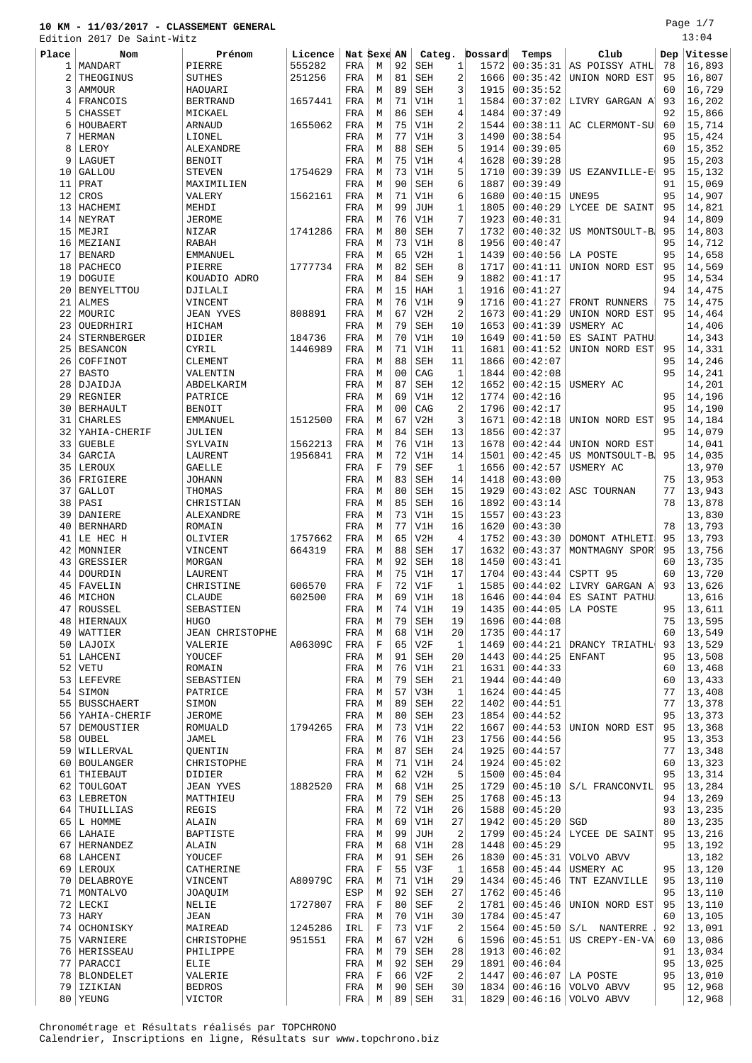Page 1/7  $13:04$ 

|          | Edition 2017 De Saint-Witz |                        |         |             |             |          |            |                |              |          |                                  |          | 13:04            |
|----------|----------------------------|------------------------|---------|-------------|-------------|----------|------------|----------------|--------------|----------|----------------------------------|----------|------------------|
| Place    | <b>Nom</b>                 | Prénom                 | Licence | Nat Sexe AN |             |          | Categ.     |                | Dossard      | Temps    | Club                             | Dep      | Vitesse          |
| 1        | MANDART                    | PIERRE                 | 555282  | FRA         | M           | 92       | SEH        | 1              | 1572         | 00:35:31 | AS POISSY ATHL                   | 78       | 16,893           |
| 2        | THEOGINUS                  | <b>SUTHES</b>          | 251256  | FRA         | М           | 81       | SEH        | $\sqrt{2}$     | 1666         | 00:35:42 | UNION NORD EST                   | 95       | 16,807           |
| 3        | AMMOUR                     | HAOUARI                |         | FRA         | M           | 89       | <b>SEH</b> | 3              | 1915         | 00:35:52 |                                  | 60       | 16,729           |
| 4        | FRANCOIS                   | <b>BERTRAND</b>        | 1657441 | FRA         | М           | 71       | V1H        | 1              | 1584         | 00:37:02 | LIVRY GARGAN A                   | 93       | 16,202           |
| 5        | CHASSET                    | MICKAEL                |         | FRA         | M           | 86       | SEH        | $\overline{4}$ | 1484         | 00:37:49 |                                  | 92       | 15,866           |
| 6        | HOUBAERT                   | <b>ARNAUD</b>          | 1655062 | FRA         | M           | 75       | V1H        | 2              | 1544         | 00:38:11 | AC CLERMONT-SU                   | 60       | 15,714           |
| 7        | <b>HERMAN</b>              | LIONEL                 |         | FRA         | M           | 77       | V1H        | 3              | 1490         | 00:38:54 |                                  | 95       | 15,424           |
| 8        | LEROY                      | ALEXANDRE              |         | FRA         | M           | 88       | <b>SEH</b> | 5              | 1914         | 00:39:05 |                                  | 60       | 15,352           |
| 9        | LAGUET                     | <b>BENOIT</b>          |         | FRA         | M           | 75       | V1H        | 4              | 1628         | 00:39:28 |                                  | 95       | 15,203           |
|          | <b>GALLOU</b>              | <b>STEVEN</b>          | 1754629 | FRA         | M           | 73       | V1H        | 5              | 1710         | 00:39:39 |                                  | 95       | 15,132           |
| 10       |                            |                        |         |             |             | 90       |            | 6              |              |          | US EZANVILLE-E                   |          |                  |
| 11       | PRAT                       | MAXIMILIEN             |         | FRA         | М           |          | SEH        |                | 1887         | 00:39:49 |                                  | 91       | 15,069           |
| 12       | CROS                       | VALERY                 | 1562161 | FRA         | M           | 71       | V1H        | 6              | 1680         | 00:40:15 | <b>UNE95</b>                     | 95       | 14,907           |
| 13       | HACHEMI                    | MEHDI                  |         | FRA         | М           | 99       | <b>JUH</b> | 1              | 1805         | 00:40:29 | LYCEE DE SAINT                   | 95       | 14,821           |
| 14       | NEYRAT                     | <b>JEROME</b>          |         | FRA         | M           | 76       | V1H        | 7              | 1923         | 00:40:31 |                                  | 94       | 14,809           |
| 15       | MEJRI                      | NIZAR                  | 1741286 | FRA         | M           | 80       | SEH        | 7              | 1732         | 00:40:32 | US MONTSOULT-B                   | 95       | 14,803           |
| 16       | MEZIANI                    | <b>RABAH</b>           |         | FRA         | M           | 73       | V1H        | 8              | 1956         | 00:40:47 |                                  | 95       | 14,712           |
| 17       | <b>BENARD</b>              | <b>EMMANUEL</b>        |         | FRA         | М           | 65       | V2H        | 1              | 1439         | 00:40:56 | LA POSTE                         | 95       | 14,658           |
| 18       | PACHECO                    | PIERRE                 | 1777734 | FRA         | M           | 82       | SEH        | 8              | 1717         | 00:41:11 | UNION NORD EST                   | 95       | 14,569           |
| 19       | <b>DOGUIE</b>              | KOUADIO ADRO           |         | FRA         | M           | 84       | SEH        | 9              | 1882         | 00:41:17 |                                  | 95       | 14,534           |
| 20       | <b>BENYELTTOU</b>          | DJILALI                |         | FRA         | М           | 15       | HAH        | 1              | 1916         | 00:41:27 |                                  | 94       | 14,475           |
| 21       | <b>ALMES</b>               | VINCENT                |         | FRA         | М           | 76       | V1H        | 9              | 1716         | 00:41:27 | FRONT RUNNERS                    | 75       | 14,475           |
| 22       | MOURIC                     | <b>JEAN YVES</b>       | 808891  | FRA         | M           | 67       | V2H        | $\overline{2}$ | 1673         | 00:41:29 | UNION NORD EST                   | 95       | 14,464           |
| 23       | OUEDRHIRI                  | HICHAM                 |         | FRA         | M           | 79       | SEH        | 10             | 1653         | 00:41:39 | USMERY AC                        |          | 14,406           |
| 24       | <b>STERNBERGER</b>         | DIDIER                 | 184736  | FRA         | M           | 70       | V1H        | 10             | 1649         | 00:41:50 | ES SAINT PATHU                   |          | 14,343           |
| 25       | <b>BESANCON</b>            | CYRIL                  | 1446989 | FRA         | M           | 71       | V1H        | 11             | 1681         | 00:41:52 | UNION NORD EST                   | 95       | 14,331           |
| 26       | COFFINOT                   | <b>CLEMENT</b>         |         | FRA         | M           | 88       | <b>SEH</b> | 11             | 1866         | 00:42:07 |                                  | 95       | 14,246           |
| 27       | <b>BASTO</b>               | VALENTIN               |         | FRA         | М           | 00       | CAG        | $\mathbf{1}$   | 1844         | 00:42:08 |                                  | 95       | 14,241           |
| 28       | DJAIDJA                    | ABDELKARIM             |         | FRA         | М           | 87       | <b>SEH</b> | 12             | 1652         | 00:42:15 | USMERY AC                        |          | 14,201           |
| 29       | REGNIER                    | PATRICE                |         | FRA         | М           | 69       | V1H        | 12             | 1774         | 00:42:16 |                                  | 95       | 14,196           |
| 30       | <b>BERHAULT</b>            | <b>BENOIT</b>          |         | FRA         | М           | 00       | CAG        | $\overline{2}$ | 1796         | 00:42:17 |                                  | 95       | 14,190           |
| 31       | <b>CHARLES</b>             | <b>EMMANUEL</b>        | 1512500 | FRA         | M           | 67       | V2H        | 3              | 1671         | 00:42:18 | UNION NORD EST                   | 95       | 14,184           |
| 32       | YAHIA-CHERIF               | JULIEN                 |         | FRA         | M           | 84       | SEH        | 13             | 1856         | 00:42:37 |                                  | 95       | 14,079           |
| 33       | <b>GUEBLE</b>              | SYLVAIN                | 1562213 | FRA         | M           | 76       | V1H        | 13             | 1678         | 00:42:44 | UNION NORD EST                   |          | 14,041           |
|          |                            |                        |         |             |             |          |            |                |              |          |                                  |          |                  |
| 34       | GARCIA                     | LAURENT                | 1956841 | FRA         | М           | 72       | V1H        | 14             | 1501         | 00:42:45 | US MONTSOULT-B                   | 95       | 14,035           |
| 35       | LEROUX                     | GAELLE                 |         | FRA         | $\mathbf F$ | 79       | <b>SEF</b> | 1              | 1656         | 00:42:57 | USMERY AC                        |          | 13,970           |
| 36       | FRIGIERE                   | <b>JOHANN</b>          |         | FRA         | М           | 83       | SEH        | 14             | 1418         | 00:43:00 |                                  | 75       | 13,953           |
| 37       | <b>GALLOT</b>              | THOMAS                 |         | FRA         | М           | 80       | SEH        | 15             | 1929         | 00:43:02 | ASC TOURNAN                      | 77       | 13,943           |
| 38       | PASI                       | CHRISTIAN              |         | FRA         | М           | 85       | SEH        | 16             | 1892         | 00:43:14 |                                  | 78       | 13,878           |
| 39       | DANIERE                    | ALEXANDRE              |         | FRA         | M           | 73       | V1H        | 15             | 1557         | 00:43:23 |                                  |          | 13,830           |
| 40       | <b>BERNHARD</b>            | ROMAIN                 |         | FRA         | M           | 77       | V1H        | 16             | 1620         | 00:43:30 |                                  | 78       | 13,793           |
| 41       | LE HEC H                   | OLIVIER                | 1757662 | FRA         | M           | 65       | V2H        | $\overline{4}$ | 1752         | 00:43:30 | DOMONT ATHLETI                   | 95       | 13,793           |
| 42       | MONNIER                    | VINCENT                | 664319  | FRA         | М           | 88       | SEH        | 17             | 1632         | 00:43:37 | MONTMAGNY SPOR                   | 95       | 13,756           |
| 43       | GRESSIER                   | MORGAN                 |         | FRA         | М           | 92       | SEH        | 18             | 1450         | 00:43:41 |                                  | 60       | 13,735           |
| 44       | DOURDIN                    | LAURENT                |         | FRA         | M           | 75       | V1H        | 17             | 1704         | 00:43:44 | CSPTT 95                         | 60       | 13,720           |
|          | 45 FAVELIN                 | CHRISTINE              | 606570  | FRA         | $\rm F$     | 72       | V1F        | $\mathbf{1}$   | 1585         |          | $00:44:02$ LIVRY GARGAN A        | 93       | 13,626           |
|          | 46 MICHON                  | <b>CLAUDE</b>          | 602500  | FRA         | M           | 69       | V1H        | 18             |              |          | $1646   00:44:04$ ES SAINT PATHU |          | 13,616           |
| 47       | ROUSSEL                    | SEBASTIEN              |         | FRA         | М           | 74       | V1H        | 19             | 1435         |          | $00:44:05$ LA POSTE              | 95       | 13,611           |
| 48       | HIERNAUX                   | <b>HUGO</b>            |         | FRA         | М           | 79       | SEH        | 19             | 1696         | 00:44:08 |                                  | 75       | 13,595           |
| 49       | WATTIER                    | <b>JEAN CHRISTOPHE</b> |         | FRA         | M           | 68       | V1H        | 20             | 1735         | 00:44:17 |                                  | 60       | 13,549           |
| 50       | LAJOIX                     | VALERIE                | A06309C | FRA         | F           | 65       | V2F        | 1              | 1469         | 00:44:21 | DRANCY TRIATHL                   | 93       | 13,529           |
| 51       | LAHCENI                    | YOUCEF                 |         | FRA         | M           | 91       | SEH        | 20             | 1443         | 00:44:25 | <b>ENFANT</b>                    | 95       | 13,508           |
| 52       | <b>VETU</b>                | ROMAIN                 |         | FRA         | M           | 76       | V1H        | 21             | 1631         | 00:44:33 |                                  | 60       | 13,468           |
| 53       | LEFEVRE                    | SEBASTIEN              |         | FRA         | М           | 79       | <b>SEH</b> | 21             | 1944         | 00:44:40 |                                  | 60       | 13,433           |
| 54       | SIMON                      | PATRICE                |         | FRA         | М           | 57       | V3H        | $\mathbf{1}$   | 1624         | 00:44:45 |                                  | 77       | 13,408           |
| 55       | <b>BUSSCHAERT</b>          | SIMON                  |         | FRA         | М           | 89       | SEH        | 22             | 1402         | 00:44:51 |                                  | 77       | 13,378           |
| 56       | YAHIA-CHERIF               | JEROME                 |         | FRA         | М           | 80       | SEH        | 23             | 1854         | 00:44:52 |                                  | 95       | 13,373           |
| 57       | DEMOUSTIER                 | ROMUALD                | 1794265 | FRA         | M           | 73       | V1H        | 22             | 1667         | 00:44:53 | UNION NORD EST                   | 95       | 13,368           |
|          |                            |                        |         |             |             |          |            |                |              | 00:44:56 |                                  |          |                  |
| 58<br>59 | OUBEL<br>WILLERVAL         | JAMEL<br>QUENTIN       |         | FRA<br>FRA  | М<br>М      | 76<br>87 | V1H<br>SEH | 23<br>24       | 1756<br>1925 | 00:44:57 |                                  | 95<br>77 | 13,353<br>13,348 |
|          |                            |                        |         |             |             |          |            |                |              |          |                                  |          |                  |
| 60       | <b>BOULANGER</b>           | CHRISTOPHE             |         | FRA         | М           | 71       | V1H        | 24             | 1924         | 00:45:02 |                                  | 60       | 13,323           |
| 61       | THIEBAUT                   | DIDIER                 |         | FRA         | М           | 62       | V2H        | 5              | 1500         | 00:45:04 |                                  | 95       | 13,314           |
| 62       | TOULGOAT                   | JEAN YVES              | 1882520 | FRA         | М           | 68       | V1H        | 25             | 1729         | 00:45:10 | S/L FRANCONVIL                   | 95       | 13,284           |
| 63       | LEBRETON                   | MATTHIEU               |         | FRA         | М           | 79       | SEH        | 25             | 1768         | 00:45:13 |                                  | 94       | 13,269           |
| 64       | THUILLIAS                  | <b>REGIS</b>           |         | FRA         | М           | 72       | V1H        | 26             | 1588         | 00:45:20 |                                  | 93       | 13,235           |
| 65       | L HOMME                    | ALAIN                  |         | FRA         | М           | 69       | V1H        | 27             | 1942         | 00:45:20 | SGD                              | 80       | 13,235           |
| 66       | LAHAIE                     | <b>BAPTISTE</b>        |         | FRA         | M           | 99       | JUH        | 2              | 1799         | 00:45:24 | LYCEE DE SAINT                   | 95       | 13,216           |
| 67       | <b>HERNANDEZ</b>           | ALAIN                  |         | FRA         | M           | 68       | V1H        | 28             | 1448         | 00:45:29 |                                  | 95       | 13,192           |
|          | 68 LAHCENI                 | YOUCEF                 |         | FRA         | M           | 91       | <b>SEH</b> | 26             | 1830         | 00:45:31 | VOLVO ABVV                       |          | 13,182           |
| 69       | LEROUX                     | CATHERINE              |         | FRA         | F           | 55       | V3F        | 1              | 1658         | 00:45:44 | USMERY AC                        | 95       | 13,120           |
| 70       | DELABROYE                  | VINCENT                | A80979C | FRA         | М           | 71       | V1H        | 29             | 1434         | 00:45:46 | TNT EZANVILLE                    | 95       | 13,110           |
| 71       | MONTALVO                   | <b>JOAQUIM</b>         |         | ESP         | М           | 92       | SEH        | 27             | 1762         | 00:45:46 |                                  | 95       | 13,110           |
| 72       | LECKI                      | NELIE                  | 1727807 | FRA         | $\mathbf F$ | 80       | SEF        | $\overline{2}$ | 1781         | 00:45:46 | UNION NORD EST                   | 95       | 13,110           |
| 73       | <b>HARY</b>                | <b>JEAN</b>            |         | FRA         | M           | 70       | V1H        | 30             | 1784         | 00:45:47 |                                  | 60       | 13,105           |
| 74       | OCHONISKY                  | MAIREAD                | 1245286 | IRL         | $\mathbf F$ | 73       | V1F        | $\overline{c}$ | 1564         | 00:45:50 | S/L NANTERRE                     | 92       | 13,091           |
| 75       | VARNIERE                   | CHRISTOPHE             | 951551  | FRA         | M           | 67       | V2H        | 6              | 1596         | 00:45:51 | US CREPY-EN-VA                   | 60       | 13,086           |
|          | 76   HERISSEAU             | PHILIPPE               |         | FRA         | М           | 79       | SEH        | 28             | 1913         | 00:46:02 |                                  | 91       | 13,034           |
| 77       | PARACCI                    | ELIE                   |         | FRA         | M           | 92       | <b>SEH</b> | 29             | 1891         | 00:46:04 |                                  | 95       | 13,025           |
| 78       | BLONDELET                  | VALERIE                |         | FRA         | F           | 66       | V2F        | 2              | 1447         | 00:46:07 | LA POSTE                         | 95       | 13,010           |
| 79       | IZIKIAN                    | <b>BEDROS</b>          |         | FRA         | М           | 90       | SEH        | 30             |              |          | 1834 00:46:16 VOLVO ABVV         | 95       | 12,968           |
|          | 80 YEUNG                   | VICTOR                 |         | FRA         | М           | 89       | SEH        | 31             |              |          | $1829   00:46:16   00$ LVO ABVV  |          | 12,968           |
|          |                            |                        |         |             |             |          |            |                |              |          |                                  |          |                  |

Chronométrage et Résultats réalisés par TOPCHRONO Calendrier, Inscriptions en ligne, Résultats sur www.topchrono.biz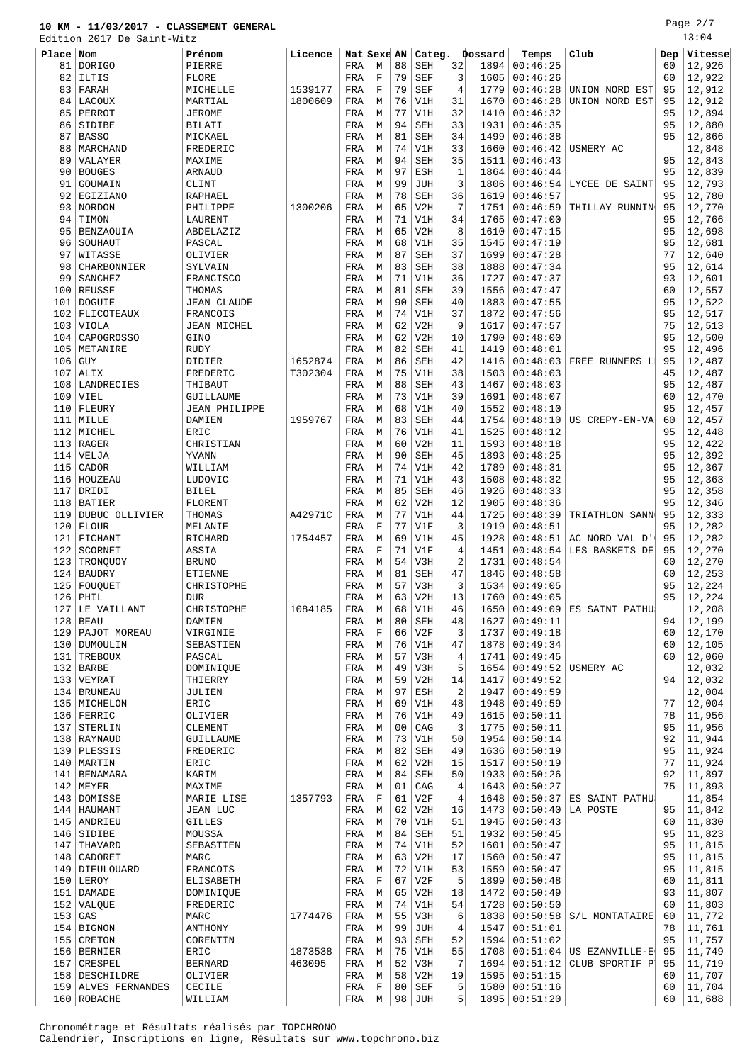Page 2/7

|           | Edition 2017 De Saint-Witz |                      |         |              |             |                |            |                |         |                 |                      |     | 13:04   |
|-----------|----------------------------|----------------------|---------|--------------|-------------|----------------|------------|----------------|---------|-----------------|----------------------|-----|---------|
| Place Nom |                            | Prénom               | Licence | Nat Sexe AN  |             |                | Categ.     |                | Dossard | Temps           | Club                 | Dep | Vitesse |
| 81        | <b>DORIGO</b>              | PIERRE               |         | FRA          | М           | 88             | <b>SEH</b> | 32             | 1894    | 00:46:25        |                      | 60  | 12,926  |
| 82        | ILTIS                      | FLORE                |         | FRA          | $\mathbf F$ | 79             | <b>SEF</b> | 3              | 1605    | 00:46:26        |                      | 60  | 12,922  |
|           |                            |                      |         |              | $\mathbf F$ | 79             |            | 4              | 1779    |                 |                      | 95  |         |
| 83        | FARAH                      | MICHELLE             | 1539177 | FRA          |             |                | <b>SEF</b> |                |         | 00:46:28        | UNION NORD EST       |     | 12,912  |
|           | 84 LACOUX                  | MARTIAL              | 1800609 | FRA          | M           | 76             | V1H        | 31             | 1670    | 00:46:28        | UNION NORD EST       | 95  | 12,912  |
| 85        | PERROT                     | <b>JEROME</b>        |         | FRA          | М           | 77             | V1H        | 32             | 1410    | 00:46:32        |                      | 95  | 12,894  |
| 86        | SIDIBE                     | BILATI               |         | FRA          | М           | 94             | <b>SEH</b> | 33             | 1931    | 00:46:35        |                      | 95  | 12,880  |
| 87        | <b>BASSO</b>               | MICKAEL              |         | FRA          | M           | 81             | <b>SEH</b> | 34             | 1499    | 00:46:38        |                      | 95  | 12,866  |
| 88        | MARCHAND                   | FREDERIC             |         | FRA          | M           | 74             | V1H        | 33             | 1660    | 00:46:42        | USMERY AC            |     | 12,848  |
| 89        | VALAYER                    | MAXIME               |         | FRA          | M           | 94             | <b>SEH</b> | 35             | 1511    | 00:46:43        |                      | 95  | 12,843  |
| 90        | <b>BOUGES</b>              | <b>ARNAUD</b>        |         | FRA          | М           | 97             | <b>ESH</b> | $\mathbf{1}$   | 1864    | 00:46:44        |                      | 95  | 12,839  |
| 91        | GOUMAIN                    | CLINT                |         | FRA          | M           | 99             | <b>JUH</b> | 3              | 1806    | 00:46:54        | LYCEE DE SAINT       | 95  | 12,793  |
| 92        | EGIZIANO                   | <b>RAPHAEL</b>       |         | FRA          | M           | 78             | <b>SEH</b> | 36             | 1619    | 00:46:57        |                      | 95  | 12,780  |
| 93        | NORDON                     | PHILIPPE             | 1300206 | FRA          | M           | 65             | V2H        | 7              | 1751    | 00:46:59        | THILLAY RUNNIN       | 95  | 12,770  |
| 94        | TIMON                      | LAURENT              |         | FRA          | М           | 71             | V1H        | 34             | 1765    | 00:47:00        |                      | 95  | 12,766  |
|           |                            |                      |         |              |             | 65             |            | 8              |         |                 |                      | 95  |         |
| 95        | BENZAOUIA                  | ABDELAZIZ            |         | FRA          | M           |                | V2H        |                | 1610    | 00:47:15        |                      |     | 12,698  |
| 96        | SOUHAUT                    | PASCAL               |         | FRA          | М           | 68             | V1H        | 35             | 1545    | 00:47:19        |                      | 95  | 12,681  |
| 97        | WITASSE                    | OLIVIER              |         | FRA          | M           | 87             | <b>SEH</b> | 37             | 1699    | 00:47:28        |                      | 77  | 12,640  |
| 98        | CHARBONNIER                | SYLVAIN              |         | FRA          | M           | 83             | <b>SEH</b> | 38             | 1888    | 00:47:34        |                      | 95  | 12,614  |
| 99        | SANCHEZ                    | <b>FRANCISCO</b>     |         | FRA          | М           | 71             | V1H        | 36             | 1727    | 00:47:37        |                      | 93  | 12,601  |
|           | 100 REUSSE                 | THOMAS               |         | FRA          | М           | 81             | <b>SEH</b> | 39             | 1556    | 00:47:47        |                      | 60  | 12,557  |
| 101       | DOGUIE                     | <b>JEAN CLAUDE</b>   |         | FRA          | M           | 90             | <b>SEH</b> | 40             | 1883    | 00:47:55        |                      | 95  | 12,522  |
|           | 102 FLICOTEAUX             | FRANCOIS             |         | FRA          | M           | 74             | V1H        | 37             | 1872    | 00:47:56        |                      | 95  | 12,517  |
| 103       | VIOLA                      | JEAN MICHEL          |         | FRA          | M           | 62             | V2H        | 9              | 1617    | 00:47:57        |                      | 75  | 12,513  |
| 104       | CAPOGROSSO                 | GINO                 |         | FRA          | М           | 62             | V2H        | 10             | 1790    | 00:48:00        |                      | 95  | 12,500  |
|           | 105 METANIRE               | <b>RUDY</b>          |         | FRA          | M           | 82             | <b>SEH</b> | 41             | 1419    | 00:48:01        |                      | 95  | 12,496  |
| 106       | GUY                        | DIDIER               | 1652874 | FRA          | М           | 86             | <b>SEH</b> | 42             | 1416    | 00:48:03        | FREE RUNNERS L       | 95  | 12,487  |
|           |                            |                      |         |              |             | 75             |            |                |         |                 |                      |     |         |
| 107       | ALIX                       | FREDERIC             | T302304 | FRA          | M           |                | V1H        | 38             | 1503    | 00:48:03        |                      | 45  | 12,487  |
|           | 108   LANDRECIES           | THIBAUT              |         | FRA          | M           | 88             | <b>SEH</b> | 43             | 1467    | 00:48:03        |                      | 95  | 12,487  |
| 109       | VIEL                       | GUILLAUME            |         | FRA          | M           | 73             | V1H        | 39             | 1691    | 00:48:07        |                      | 60  | 12,470  |
|           | $110$ FLEURY               | <b>JEAN PHILIPPE</b> |         | FRA          | M           | 68             | V1H        | 40             | 1552    | 00:48:10        |                      | 95  | 12,457  |
|           | 111   MILLE                | DAMIEN               | 1959767 | FRA          | M           | 83             | <b>SEH</b> | 44             | 1754    | 00:48:10        | US CREPY-EN-VA       | 60  | 12,457  |
|           | 112 MICHEL                 | ERIC                 |         | FRA          | M           | 76             | V1H        | 41             | 1525    | 00:48:12        |                      | 95  | 12,448  |
|           | $113$ RAGER                | CHRISTIAN            |         | FRA          | М           | 60             | V2H        | 11             | 1593    | 00:48:18        |                      | 95  | 12,422  |
|           | $114$ VELJA                | YVANN                |         | FRA          | M           | 90             | <b>SEH</b> | 45             | 1893    | 00:48:25        |                      | 95  | 12,392  |
| 115       | CADOR                      | WILLIAM              |         | FRA          | М           | 74             | V1H        | 42             | 1789    | 00:48:31        |                      | 95  | 12,367  |
|           | 116   HOUZEAU              | LUDOVIC              |         | FRA          | M           | 71             | V1H        | 43             | 1508    | 00:48:32        |                      | 95  | 12,363  |
| 117       | DRIDI                      | <b>BILEL</b>         |         | FRA          | М           | 85             | <b>SEH</b> | 46             | 1926    | 00:48:33        |                      | 95  | 12,358  |
|           | 118 BATIER                 | FLORENT              |         |              | M           | 62             | V2H        | 12             | 1905    | 00:48:36        |                      | 95  | 12,346  |
|           |                            |                      |         | FRA          |             |                |            |                |         |                 |                      |     |         |
| 119       | DUBUC OLLIVIER             | THOMAS               | A42971C | FRA          | М           | 77             | V1H        | 44             | 1725    | 00:48:39        | TRIATHLON SANN       | 95  | 12,333  |
|           | $120$ FLOUR                | MELANIE              |         | FRA          | $\mathbf F$ | 77             | V1F        | 3              | 1919    | 00:48:51        |                      | 95  | 12,282  |
|           | 121 FICHANT                | RICHARD              | 1754457 | FRA          | М           | 69             | V1H        | 45             | 1928    | 00:48:51        | AC NORD VAL D        | 95  | 12,282  |
| 122       | SCORNET                    | ASSIA                |         | FRA          | F           | 71             | V1F        | 4              | 1451    | 00:48:54        | LES BASKETS DE       | 95  | 12,270  |
|           | 123   TRONQUOY             | <b>BRUNO</b>         |         | FRA          | M           | 54             | V3H        | 2              | 1731    | 00:48:54        |                      | 60  | 12,270  |
|           | 124 BAUDRY                 | <b>ETIENNE</b>       |         | FRA          | М           | 81             | <b>SEH</b> | 47             | 1846    | 00:48:58        |                      | 60  | 12,253  |
|           | 125   FOUQUET              | CHRISTOPHE           |         | FRA          | M           | 57             | V3H        | 3              |         | 1534   00:49:05 |                      | 95  | 12,224  |
|           | $126$ PHIL                 | <b>DUR</b>           |         | FRA          | М           |                | $63$ V2H   | 13             |         | $1760$ 00:49:05 |                      | 95  | 12,224  |
|           | 127 LE VAILLANT            | CHRISTOPHE           | 1084185 | FRA          | М           | 68             | V1H        | 46             | 1650    | 00:49:09        | ES SAINT PATHU       |     | 12,208  |
|           | $128$ BEAU                 | DAMIEN               |         | FRA          | М           | 80             | <b>SEH</b> | 48             | 1627    | 00:49:11        |                      | 94  | 12,199  |
|           | 129   PAJOT MOREAU         | VIRGINIE             |         | FRA          | $\mathbf F$ | 66             | V2F        | 3              | 1737    | 00:49:18        |                      | 60  | 12,170  |
|           | 130 DUMOULIN               | SEBASTIEN            |         | FRA          | М           | 76             | V1H        | 47             | 1878    | 00:49:34        |                      | 60  | 12,105  |
|           | 131 TREBOUX                | PASCAL               |         | FRA          | М           | 57             | V3H        | 4              | 1741    | 00:49:45        |                      | 60  | 12,060  |
|           | $132$ BARBE                |                      |         | FRA          | М           | 49             | V3H        | 5              | 1654    |                 | $00:49:52$ USMERY AC |     | 12,032  |
|           |                            | DOMINIQUE            |         |              |             |                |            |                |         |                 |                      |     |         |
|           | 133 VEYRAT                 | THIERRY              |         | FRA          | М           | 59             | V2H        | 14             | 1417    | 00:49:52        |                      | 94  | 12,032  |
|           | 134 BRUNEAU                | JULIEN               |         | FRA          | M           | 97             | ESH        | $\overline{2}$ | 1947    | 00:49:59        |                      |     | 12,004  |
|           | 135 MICHELON               | ERIC                 |         | FRA          | М           | 69             | V1H        | 48             | 1948    | 00:49:59        |                      | 77  | 12,004  |
|           | $136$ FERRIC               | OLIVIER              |         | FRA          | М           | 76             | V1H        | 49             | 1615    | 00:50:11        |                      | 78  | 11,956  |
|           | 137 STERLIN                | CLEMENT              |         | FRA          | М           | 0 <sub>0</sub> | CAG        | 3              | 1775    | 00:50:11        |                      | 95  | 11,956  |
|           | 138 RAYNAUD                | GUILLAUME            |         | FRA          | M           | 73             | V1H        | 50             | 1954    | 00:50:14        |                      | 92  | 11,944  |
|           | 139   PLESSIS              | FREDERIC             |         | FRA          | М           | 82             | SEH        | 49             | 1636    | 00:50:19        |                      | 95  | 11,924  |
|           | 140   MARTIN               | ERIC                 |         | FRA          | М           | 62             | V2H        | 15             | 1517    | 00:50:19        |                      | 77  | 11,924  |
|           | 141   BENAMARA             | KARIM                |         | FRA          | М           | 84             | <b>SEH</b> | 50             | 1933    | 00:50:26        |                      | 92  | 11,897  |
|           | 142 MEYER                  | MAXIME               |         | $_{\rm FRA}$ | M           | 01             | CAG        | 4              | 1643    | 00:50:27        |                      | 75  | 11,893  |
|           | 143 DOMISSE                | MARIE LISE           | 1357793 | FRA          | $\mathbf F$ | 61             | V2F        | 4              | 1648    | 00:50:37        | ES SAINT PATHU       |     | 11,854  |
|           | $144$   HAUMANT            | <b>JEAN LUC</b>      |         | FRA          | М           | 62             | V2H        | 16             | 1473    | 00:50:40        | LA POSTE             | 95  | 11,842  |
|           | 145   ANDRIEU              | <b>GILLES</b>        |         | FRA          | M           | 70             | V1H        | 51             | 1945    | 00:50:43        |                      | 60  |         |
|           |                            |                      |         |              |             | 84             |            |                |         |                 |                      | 95  | 11,830  |
|           | $146$ SIDIBE               | MOUSSA               |         | FRA          | М           |                | <b>SEH</b> | 51             | 1932    | 00:50:45        |                      |     | 11,823  |
|           | 147 THAVARD                | SEBASTIEN            |         | FRA          | М           | 74             | V1H        | 52             | 1601    | 00:50:47        |                      | 95  | 11,815  |
|           | 148 CADORET                | MARC                 |         | FRA          | М           | 63             | V2H        | 17             | 1560    | 00:50:47        |                      | 95  | 11,815  |
|           | 149   DIEULOUARD           | FRANCOIS             |         | FRA          | М           | 72             | V1H        | 53             | 1559    | 00:50:47        |                      | 95  | 11,815  |
|           | 150   LEROY                | <b>ELISABETH</b>     |         | FRA          | $\mathbf F$ | 67             | V2F        | 5              | 1899    | 00:50:48        |                      | 60  | 11,811  |
|           | 151   DAMADE               | DOMINIQUE            |         | FRA          | М           | 65             | V2H        | 18             | 1472    | 00:50:49        |                      | 93  | 11,807  |
|           | 152 VALQUE                 | FREDERIC             |         | FRA          | М           | 74             | V1H        | 54             | 1728    | 00:50:50        |                      | 60  | 11,803  |
| $153$ GAS |                            | MARC                 | 1774476 | FRA          | М           | 55             | V3H        | 6              | 1838    | 00:50:58        | S/L MONTATAIRE       | 60  | 11,772  |
|           | 154 BIGNON                 | ANTHONY              |         | FRA          | M           | 99             | JUH        | 4              | 1547    | 00:51:01        |                      | 78  | 11,761  |
|           | 155 CRETON                 | CORENTIN             |         | FRA          | М           | 93             | SEH        | 52             | 1594    | 00:51:02        |                      | 95  | 11,757  |
|           | 156 BERNIER                | ERIC                 | 1873538 | FRA          | М           | 75             | V1H        | 55             | 1708    | 00:51:04        | US EZANVILLE-E       | 95  | 11,749  |
|           | 157 CRESPEL                | <b>BERNARD</b>       | 463095  | FRA          | М           | 52             | V3H        | 7              | 1694    | 00:51:12        | CLUB SPORTIF P       | 95  | 11,719  |
|           | 158   DESCHILDRE           | OLIVIER              |         | FRA          | M           | 58             | V2H        | 19             | 1595    | 00:51:15        |                      | 60  | 11,707  |
|           | 159 ALVES FERNANDES        | CECILE               |         | FRA          | $\mathbf F$ | 80             | <b>SEF</b> | 5              | 1580    | 00:51:16        |                      | 60  | 11,704  |
|           | 160 ROBACHE                |                      |         |              | М           | 98             | JUH        | 5              | 1895    | 00:51:20        |                      | 60  | 11,688  |
|           |                            | WILLIAM              |         | FRA          |             |                |            |                |         |                 |                      |     |         |

Chronométrage et Résultats réalisés par TOPCHRONO Calendrier, Inscriptions en ligne, Résultats sur www.topchrono.biz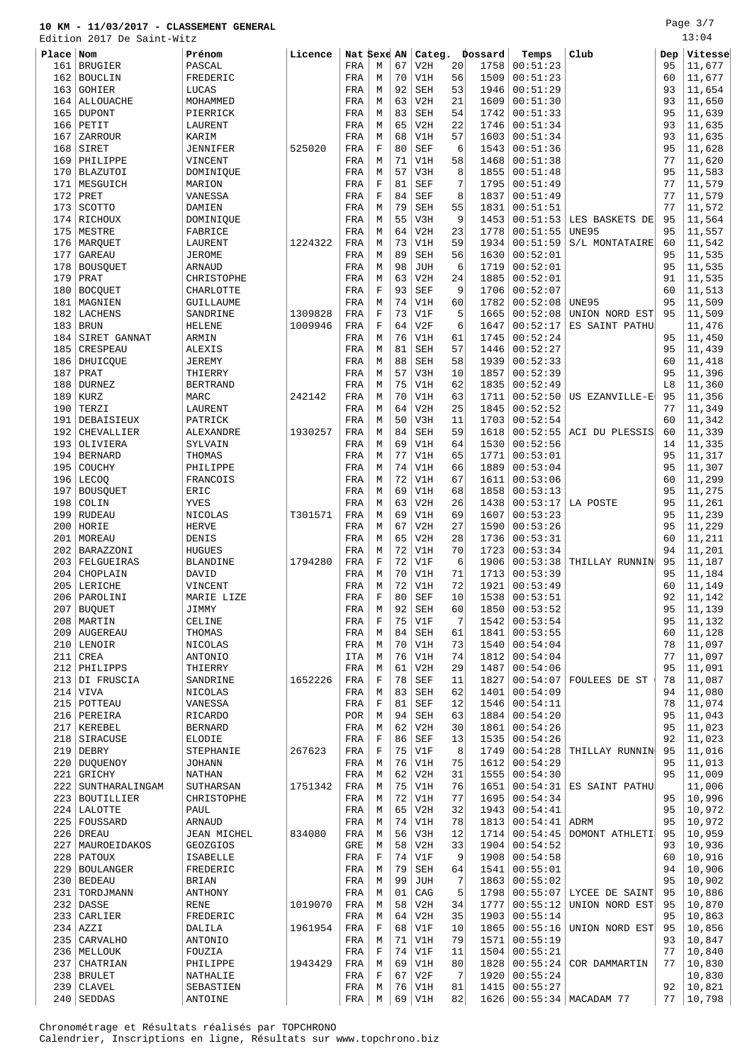Edition 2017 De Saint-Witz

| Place | $\sqrt{N}$         | Prénom          | Licence |              | Nat Sexe AN |    |                               |    | Categ. Dossard | Temps           | Club                      | Dep | Vitesse |
|-------|--------------------|-----------------|---------|--------------|-------------|----|-------------------------------|----|----------------|-----------------|---------------------------|-----|---------|
| 161   | <b>BRUGIER</b>     | PASCAL          |         | FRA          | М           | 67 | V2H                           | 20 | 1758           | 00:51:23        |                           | 95  | 11,677  |
| 162   | <b>BOUCLIN</b>     | FREDERIC        |         | FRA          | М           | 70 | V1H                           | 56 | 1509           | 00:51:23        |                           | 60  | 11,677  |
|       |                    |                 |         |              |             |    |                               |    |                |                 |                           |     |         |
| 163   | GOHIER             | LUCAS           |         | FRA          | M           | 92 | <b>SEH</b>                    | 53 | 1946           | 00:51:29        |                           | 93  | 11,654  |
| 164   | ALLOUACHE          | MOHAMMED        |         | FRA          | М           | 63 | V2H                           | 21 | 1609           | 00:51:30        |                           | 93  | 11,650  |
| 165   | DUPONT             | PIERRICK        |         | FRA          | М           | 83 | <b>SEH</b>                    | 54 | 1742           | 00:51:33        |                           | 95  | 11,639  |
| 166   | PETIT              | LAURENT         |         | FRA          | М           | 65 | V2H                           | 22 | 1746           | 00:51:34        |                           | 93  | 11,635  |
| 167   | ZARROUR            | KARIM           |         | FRA          | М           | 68 | V1H                           | 57 | 1603           | 00:51:34        |                           | 93  | 11,635  |
| 168   | SIRET              | <b>JENNIFER</b> | 525020  | FRA          | $\mathbf F$ | 80 | <b>SEF</b>                    | 6  | 1543           | 00:51:36        |                           | 95  | 11,628  |
| 169   | PHILIPPE           | VINCENT         |         | FRA          | M           | 71 | V1H                           | 58 | 1468           | 00:51:38        |                           | 77  | 11,620  |
| 170   | <b>BLAZUTOI</b>    | DOMINIQUE       |         | FRA          | М           | 57 | V3H                           | 8  | 1855           | 00:51:48        |                           | 95  | 11,583  |
| 171   | MESGUICH           | MARION          |         | FRA          | $\mathbf F$ | 81 | <b>SEF</b>                    | 7  | 1795           | 00:51:49        |                           | 77  | 11,579  |
| 172   | PRET               | VANESSA         |         | FRA          | $\mathbf F$ | 84 | <b>SEF</b>                    | 8  | 1837           | 00:51:49        |                           | 77  | 11,579  |
| 173   | SCOTTO             | DAMIEN          |         | FRA          | М           | 79 | <b>SEH</b>                    | 55 | 1831           | 00:51:51        |                           | 77  | 11,572  |
|       | 174 RICHOUX        | DOMINIQUE       |         | FRA          | М           | 55 | V3H                           | 9  | 1453           | 00:51:53        | LES BASKETS DE            | 95  | 11,564  |
| 175   | MESTRE             | FABRICE         |         | FRA          | М           | 64 | V2H                           | 23 | 1778           | 00:51:55        | <b>UNE95</b>              | 95  | 11,557  |
| 176   |                    | LAURENT         | 1224322 |              | M           | 73 | V1H                           | 59 | 1934           | 00:51:59        |                           | 60  | 11,542  |
|       | MARQUET            |                 |         | FRA          |             |    |                               |    |                |                 | S/L MONTATAIRE            |     |         |
| 177   | GAREAU             | JEROME          |         | FRA          | М           | 89 | <b>SEH</b>                    | 56 | 1630           | 00:52:01        |                           | 95  | 11,535  |
| 178   | <b>BOUSQUET</b>    | ARNAUD          |         | FRA          | М           | 98 | <b>JUH</b>                    | 6  | 1719           | 00:52:01        |                           | 95  | 11,535  |
| 179   | PRAT               | CHRISTOPHE      |         | FRA          | М           | 63 | V2H                           | 24 | 1885           | 00:52:01        |                           | 91  | 11,535  |
| 180   | <b>BOCQUET</b>     | CHARLOTTE       |         | FRA          | $\mathbf F$ | 93 | <b>SEF</b>                    | 9  | 1706           | 00:52:07        |                           | 60  | 11,513  |
| 181   | MAGNIEN            | GUILLAUME       |         | FRA          | M           | 74 | V1H                           | 60 | 1782           | 00:52:08        | UNE95                     | 95  | 11,509  |
| 182   | LACHENS            | SANDRINE        | 1309828 | FRA          | $\mathbf F$ | 73 | V1F                           | 5  | 1665           | 00:52:08        | UNION NORD EST            | 95  | 11,509  |
| 183   | <b>BRUN</b>        | <b>HELENE</b>   | 1009946 | FRA          | F           | 64 | V2F                           | 6  | 1647           | 00:52:17        | ES SAINT PATHU            |     | 11,476  |
| 184   | SIRET GANNAT       | ARMIN           |         | FRA          | М           | 76 | V1H                           | 61 | 1745           | 00:52:24        |                           | 95  | 11,450  |
| 185   | <b>CRESPEAU</b>    | ALEXIS          |         | FRA          | М           | 81 | <b>SEH</b>                    | 57 | 1446           | 00:52:27        |                           | 95  | 11,439  |
|       | 186   DHUICQUE     | <b>JEREMY</b>   |         | FRA          | М           | 88 | <b>SEH</b>                    | 58 | 1939           | 00:52:33        |                           | 60  | 11,418  |
| 187   | PRAT               | THIERRY         |         | FRA          | М           | 57 | V3H                           | 10 | 1857           | 00:52:39        |                           | 95  | 11,396  |
| 188   | <b>DURNEZ</b>      | <b>BERTRAND</b> |         | FRA          | М           | 75 | V1H                           | 62 | 1835           | 00:52:49        |                           | L8  | 11,360  |
| 189   | <b>KURZ</b>        | MARC            | 242142  | FRA          | М           | 70 | V1H                           | 63 | 1711           | 00:52:50        | US EZANVILLE-E            | 95  | 11,356  |
|       |                    |                 |         |              |             |    |                               |    |                |                 |                           |     |         |
| 190   | TERZI              | LAURENT         |         | FRA          | M           | 64 | V2H                           | 25 | 1845           | 00:52:52        |                           | 77  | 11,349  |
| 191   | DEBAISIEUX         | PATRICK         |         | FRA          | M           | 50 | V3H                           | 11 | 1703           | 00:52:54        |                           | 60  | 11,342  |
| 192   | CHEVALLIER         | ALEXANDRE       | 1930257 | FRA          | М           | 84 | <b>SEH</b>                    | 59 | 1618           | 00:52:55        | ACI DU PLESSIS            | 60  | 11,339  |
| 193   | OLIVIERA           | SYLVAIN         |         | FRA          | М           | 69 | V1H                           | 64 | 1530           | 00:52:56        |                           | 14  | 11,335  |
| 194   | <b>BERNARD</b>     | THOMAS          |         | FRA          | М           | 77 | V1H                           | 65 | 1771           | 00:53:01        |                           | 95  | 11,317  |
| 195   | COUCHY             | PHILIPPE        |         | FRA          | М           | 74 | V1H                           | 66 | 1889           | 00:53:04        |                           | 95  | 11,307  |
| 196   | LECOQ              | FRANCOIS        |         | FRA          | М           | 72 | V1H                           | 67 | 1611           | 00:53:06        |                           | 60  | 11,299  |
| 197   | <b>BOUSQUET</b>    | ERIC            |         | FRA          | М           | 69 | V1H                           | 68 | 1858           | 00:53:13        |                           | 95  | 11,275  |
| 198   | COLIN              | YVES            |         | FRA          | М           | 63 | V2H                           | 26 | 1438           | 00:53:17        | LA POSTE                  | 95  | 11,261  |
| 199   | <b>RUDEAU</b>      | NICOLAS         | T301571 | FRA          | М           | 69 | V1H                           | 69 | 1607           | 00:53:23        |                           | 95  | 11,239  |
| 200   | HORIE              | <b>HERVE</b>    |         | FRA          | М           | 67 | V2H                           | 27 | 1590           | 00:53:26        |                           | 95  | 11,229  |
| 201   | MOREAU             | DENIS           |         | FRA          | М           | 65 | V2H                           | 28 | 1736           | 00:53:31        |                           | 60  | 11,211  |
| 202   | BARAZZONI          | <b>HUGUES</b>   |         | FRA          | М           | 72 | V1H                           | 70 | 1723           | 00:53:34        |                           | 94  | 11,201  |
| 203   | FELGUEIRAS         | <b>BLANDINE</b> | 1794280 | FRA          | F           | 72 | V1F                           | 6  | 1906           | 00:53:38        | THILLAY RUNNIN            | 95  | 11,187  |
| 204   | CHOPLAIN           | DAVID           |         | FRA          | М           | 70 | V1H                           | 71 | 1713           | 00:53:39        |                           | 95  | 11,184  |
| 205   | LERICHE            | VINCENT         |         | FRA          | М           | 72 | V1H                           | 72 | 1921           | 00:53:49        |                           | 60  | 11,149  |
|       | 206   PAROLINI     | MARIE LIZE      |         | FRA          | $\mathbf F$ | 80 | <b>SEF</b>                    | 10 |                | 1538   00:53:51 |                           | 92  | 11,142  |
|       |                    | JIMMY           |         | FRA          | М           | 92 | SEH                           | 60 |                | $1850$ 00:53:52 |                           | 95  | 11,139  |
|       | $207$ BUQUET       |                 |         |              |             |    |                               |    |                |                 |                           |     |         |
|       | 208   MARTIN       | CELINE          |         | FRA          | F           | 75 | V1F                           | 7  | 1542           | 00:53:54        |                           | 95  | 11,132  |
|       | 209   AUGEREAU     | THOMAS          |         | FRA          | М           | 84 | SEH                           | 61 | 1841           | 00:53:55        |                           | 60  | 11,128  |
|       | 210 LENOIR         | NICOLAS         |         | FRA          | М           | 70 | V1H                           | 73 | 1540           | 00:54:04        |                           | 78  | 11,097  |
|       | $211$ CREA         | ANTONIO         |         | ITA          | M           | 76 | V1H                           | 74 | 1812           | 00:54:04        |                           | 77  | 11,097  |
|       | 212 PHILIPPS       | THIERRY         |         | FRA          | М           | 61 | V2H                           | 29 | 1487           | 00:54:06        |                           | 95  | 11,091  |
|       | 213 DI FRUSCIA     | SANDRINE        | 1652226 | FRA          | $\mathbf F$ | 78 | <b>SEF</b>                    | 11 | 1827           | 00:54:07        | FOULEES DE ST             | 78  | 11,087  |
|       | $214$ VIVA         | NICOLAS         |         | FRA          | М           | 83 | <b>SEH</b>                    | 62 | 1401           | 00:54:09        |                           | 94  | 11,080  |
|       | 215 POTTEAU        | VANESSA         |         | FRA          | $\mathbf F$ | 81 | SEF                           | 12 | 1546           | 00:54:11        |                           | 78  | 11,074  |
|       | 216 PEREIRA        | <b>RICARDO</b>  |         | POR          | М           | 94 | SEH                           | 63 | 1884           | 00:54:20        |                           | 95  | 11,043  |
|       | 217   KEREBEL      | <b>BERNARD</b>  |         | FRA          | М           | 62 | V2H                           | 30 | 1861           | 00:54:26        |                           | 95  | 11,023  |
|       | 218 SIRACUSE       | ELODIE          |         | $_{\rm FRA}$ | $\mathbf F$ | 86 | <b>SEF</b>                    | 13 | 1535           | 00:54:26        |                           | 92  | 11,023  |
|       | $219$ DEBRY        | STEPHANIE       | 267623  | FRA          | F           | 75 | V1F                           | 8  | 1749           | 00:54:28        | THILLAY RUNNIN            | 95  | 11,016  |
|       | 220 DUOUENOY       | <b>JOHANN</b>   |         | FRA          | М           | 76 | V1H                           | 75 | 1612           | 00:54:29        |                           | 95  | 11,013  |
|       | $221$ GRICHY       | NATHAN          |         | FRA          | М           | 62 | V2H                           | 31 | 1555           | 00:54:30        |                           | 95  | 11,009  |
|       | 222 SUNTHARALINGAM | SUTHARSAN       | 1751342 | FRA          | М           | 75 | V1H                           | 76 | 1651           | 00:54:31        | ES SAINT PATHU            |     | 11,006  |
|       | 223 BOUTILLIER     |                 |         |              |             | 72 | V1H                           | 77 |                | 00:54:34        |                           | 95  | 10,996  |
|       |                    | CHRISTOPHE      |         | FRA          | М           |    |                               |    | 1695           |                 |                           |     |         |
|       | 224 LALOTTE        | PAUL            |         | FRA          | М           | 65 | V2H                           | 32 | 1943           | 00:54:41        |                           | 95  | 10,972  |
|       | 225 FOUSSARD       | ARNAUD          |         | FRA          | М           | 74 | V1H                           | 78 | 1813           | 00:54:41        | ADRM                      | 95  | 10,972  |
|       | $226$ DREAU        | JEAN MICHEL     | 834080  | $_{\rm FRA}$ | М           | 56 | V3H                           | 12 | 1714           | 00:54:45        | DOMONT ATHLETI            | 95  | 10,959  |
|       | 227   MAUROEIDAKOS | GEOZGIOS        |         | GRE          | М           | 58 | V2H                           | 33 | 1904           | 00:54:52        |                           | 93  | 10,936  |
|       | 228   PATOUX       | ISABELLE        |         | FRA          | F           | 74 | V1F                           | 9  | 1908           | 00:54:58        |                           | 60  | 10,916  |
|       | 229 BOULANGER      | FREDERIC        |         | FRA          | М           | 79 | $\operatorname{\mathtt{SEH}}$ | 64 | 1541           | 00:55:01        |                           | 94  | 10,906  |
|       | $230$ BEDEAU       | BRIAN           |         | FRA          | М           | 99 | JUH                           | 7  | 1863           | 00:55:02        |                           | 95  | 10,902  |
|       | 231   TORDJMANN    | ANTHONY         |         | FRA          | М           | 01 | CAG                           | 5  | 1798           |                 | $00:55:07$ LYCEE DE SAINT | 95  | 10,886  |
|       | $232$ DASSE        | RENE            | 1019070 | FRA          | М           | 58 | V2H                           | 34 | 1777           | 00:55:12        | UNION NORD EST            | 95  | 10,870  |
|       | 233 CARLIER        | FREDERIC        |         | FRA          | М           | 64 | V2H                           | 35 | 1903           | 00:55:14        |                           | 95  | 10,863  |
|       | $234$ $AZZI$       | DALILA          | 1961954 | FRA          | F           | 68 | V1F                           | 10 | 1865           | 00:55:16        | UNION NORD EST            | 95  | 10,856  |
|       | 235 CARVALHO       | ANTONIO         |         | FRA          | М           | 71 | V1H                           | 79 | 1571           | 00:55:19        |                           | 93  | 10,847  |
|       | 236   MELLOUK      | FOUZIA          |         | FRA          | $\mathbf F$ | 74 | V1F                           | 11 | 1504           | 00:55:21        |                           | 77  | 10,840  |
|       | 237 CHATRIAN       | PHILIPPE        | 1943429 | FRA          | М           | 69 | V1H                           | 80 | 1828           | 00:55:24        | COR DAMMARTIN             | 77  | 10,830  |
|       | 238 BRULET         | NATHALIE        |         | FRA          | $\mathbf F$ | 67 | V2F                           | 7  |                | 1920   00:55:24 |                           |     | 10,830  |
|       | $239$ CLAVEL       | SEBASTIEN       |         | FRA          | М           |    | $76$ V1H                      | 81 |                | 1415   00:55:27 |                           | 92  | 10,821  |
|       |                    |                 |         |              |             |    |                               |    |                |                 |                           |     |         |

240 SEDDAS ANTOINE RA REA M 69 V1H 82 1626 00:55:34 MACADAM 77 7 10,798

Chronométrage et Résultats réalisés par TOPCHRONO Calendrier, Inscriptions en ligne, Résultats sur www.topchrono.biz Page 3/7 13:04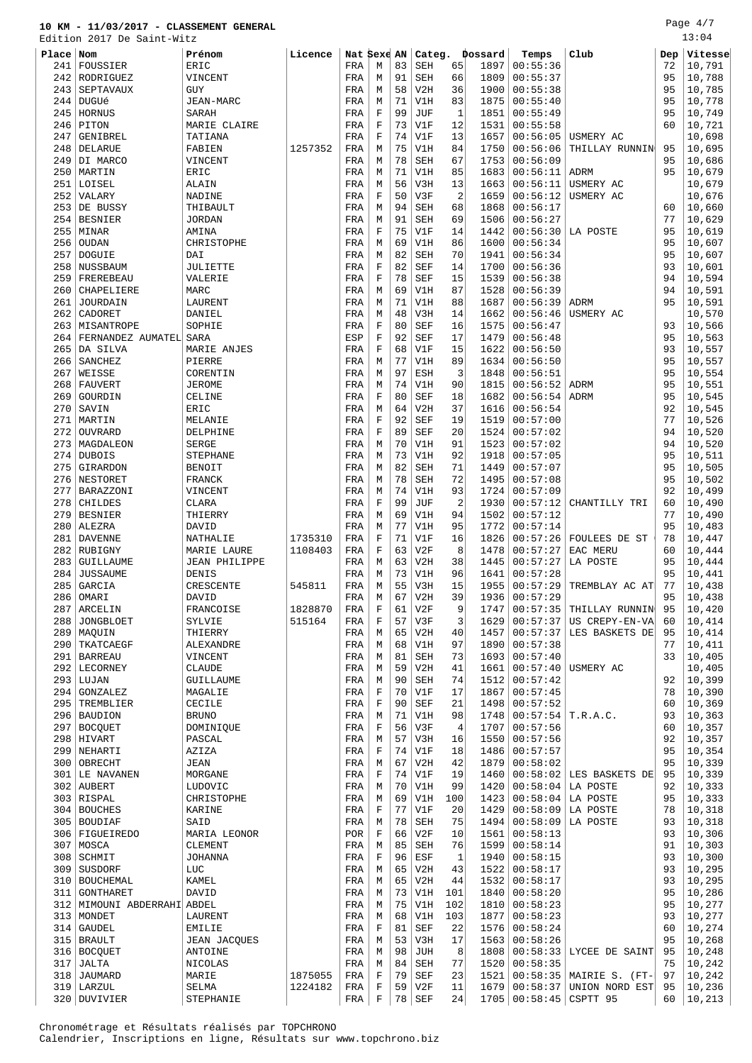Edition 2017 De Saint-Witz

| Place | Nom                           | Prénom                | Licence |     | Nat Sexe AN |    | Categ.     |                | Þossard | Temps                | Club                                  | Dep | Vitesse |
|-------|-------------------------------|-----------------------|---------|-----|-------------|----|------------|----------------|---------|----------------------|---------------------------------------|-----|---------|
| 241   | FOUSSIER                      | ERIC                  |         | FRA | М           | 83 | <b>SEH</b> | 65             | 1897    | 00:55:36             |                                       | 72  | 10,791  |
|       | 242 RODRIGUEZ                 | VINCENT               |         | FRA | М           | 91 | <b>SEH</b> | 66             | 1809    | 00:55:37             |                                       | 95  | 10,788  |
| 243   | SEPTAVAUX                     | <b>GUY</b>            |         | FRA | М           | 58 | V2H        | 36             | 1900    | 00:55:38             |                                       | 95  | 10,785  |
| 244   | <b>DUGUé</b>                  | JEAN-MARC             |         | FRA | М           | 71 | V1H        | 83             | 1875    | 00:55:40             |                                       | 95  | 10,778  |
|       | 245   HORNUS                  | <b>SARAH</b>          |         | FRA | F           | 99 | JUF        | $\mathbf{1}$   | 1851    | 00:55:49             |                                       | 95  | 10,749  |
| 246   | PITON                         | MARIE CLAIRE          |         | FRA | F           | 73 | V1F        | 12             | 1531    | 00:55:58             |                                       | 60  | 10,721  |
| 247   | GENIBREL                      | TATIANA               |         | FRA | $\mathbf F$ | 74 | V1F        | 13             | 1657    | 00:56:05             | USMERY AC                             |     | 10,698  |
|       | 248 DELARUE                   | FABIEN                | 1257352 | FRA | М           | 75 | V1H        | 84             | 1750    | 00:56:06             | THILLAY RUNNIN                        | 95  | 10,695  |
|       | 249 DI MARCO                  | VINCENT               |         | FRA | М           | 78 | <b>SEH</b> | 67             | 1753    | 00:56:09             |                                       | 95  | 10,686  |
| 250   | MARTIN                        | ERIC                  |         | FRA | М           | 71 | V1H        | 85             | 1683    | 00:56:11             | ADRM                                  | 95  | 10,679  |
|       | 251 LOISEL                    | ALAIN                 |         | FRA | М           | 56 | V3H        | 13             | 1663    | 00:56:11             | USMERY AC                             |     | 10,679  |
| 252   | VALARY                        | NADINE                |         | FRA | F           | 50 | V3F        | $\overline{2}$ | 1659    | 00:56:12             | USMERY AC                             |     | 10,676  |
|       | 253 DE BUSSY                  | THIBAULT              |         | FRA | М           | 94 | <b>SEH</b> | 68             | 1868    | 00:56:17             |                                       | 60  | 10,660  |
|       | 254 BESNIER                   | <b>JORDAN</b>         |         | FRA | М           | 91 | <b>SEH</b> | 69             | 1506    | 00:56:27             |                                       | 77  | 10,629  |
|       | $255$ MINAR                   | AMINA                 |         | FRA | F           | 75 | V1F        | 14             | 1442    | 00:56:30             | LA POSTE                              | 95  | 10,619  |
| 256   | OUDAN                         | CHRISTOPHE            |         | FRA | М           | 69 | V1H        | 86             | 1600    | 00:56:34             |                                       | 95  | 10,607  |
| 257   | DOGUIE                        | DAI                   |         | FRA | М           | 82 | <b>SEH</b> | 70             | 1941    | 00:56:34             |                                       | 95  | 10,607  |
|       | 258   NUSSBAUM                | JULIETTE              |         | FRA | $\mathbf F$ | 82 | <b>SEF</b> | 14             | 1700    | 00:56:36             |                                       | 93  | 10,601  |
| 259   | FREREBEAU                     | VALERIE               |         | FRA | F           | 78 | <b>SEF</b> | 15             | 1539    | 00:56:38             |                                       | 94  | 10,594  |
| 260   | CHAPELIERE                    | MARC                  |         | FRA | М           | 69 | V1H        | 87             | 1528    | 00:56:39             |                                       | 94  | 10,591  |
| 261   | JOURDAIN                      | LAURENT               |         | FRA | М           | 71 | V1H        | 88             | 1687    | 00:56:39             | <b>ADRM</b>                           | 95  | 10,591  |
| 262   | CADORET                       | DANIEL                |         | FRA | М           | 48 | V3H        | 14             | 1662    | 00:56:46             | USMERY AC                             |     | 10,570  |
|       | 263   MISANTROPE              | SOPHIE                |         | FRA | $\mathbf F$ | 80 | <b>SEF</b> | 16             | 1575    | 00:56:47             |                                       | 93  | 10,566  |
| 264   | FERNANDEZ AUMATEL SARA        |                       |         | ESP | F           | 92 | <b>SEF</b> | 17             | 1479    | 00:56:48             |                                       | 95  | 10,563  |
|       |                               |                       |         |     | $\mathbf F$ | 68 | V1F        | 15             | 1622    |                      |                                       | 93  | 10,557  |
| 266   | 265 DA SILVA<br>SANCHEZ       | MARIE ANJES<br>PIERRE |         | FRA |             | 77 | V1H        | 89             |         | 00:56:50<br>00:56:50 |                                       | 95  |         |
|       |                               |                       |         | FRA | М           |    |            |                | 1634    |                      |                                       |     | 10,557  |
| 267   | WEISSE                        | CORENTIN              |         | FRA | М           | 97 | ESH        | 3              | 1848    | 00:56:51             |                                       | 95  | 10,554  |
| 268   | FAUVERT                       | <b>JEROME</b>         |         | FRA | М           | 74 | V1H        | 90             | 1815    | 00:56:52             | ADRM                                  | 95  | 10,551  |
| 269   | GOURDIN                       | CELINE                |         | FRA | F           | 80 | <b>SEF</b> | 18             | 1682    | 00:56:54             | ADRM                                  | 95  | 10,545  |
| 270   | SAVIN                         | ERIC                  |         | FRA | М           | 64 | V2H        | 37             | 1616    | 00:56:54             |                                       | 92  | 10,545  |
| 271   | MARTIN                        | MELANIE               |         | FRA | $\mathbf F$ | 92 | <b>SEF</b> | 19             | 1519    | 00:57:00             |                                       | 77  | 10,526  |
|       | 272 OUVRARD                   | DELPHINE              |         | FRA | F           | 89 | <b>SEF</b> | 20             | 1524    | 00:57:02             |                                       | 94  | 10,520  |
|       | 273   MAGDALEON               | SERGE                 |         | FRA | М           | 70 | V1H        | 91             | 1523    | 00:57:02             |                                       | 94  | 10,520  |
|       | 274 DUBOIS                    | STEPHANE              |         | FRA | М           | 73 | V1H        | 92             | 1918    | 00:57:05             |                                       | 95  | 10,511  |
| 275   | GIRARDON                      | <b>BENOIT</b>         |         | FRA | М           | 82 | <b>SEH</b> | 71             | 1449    | 00:57:07             |                                       | 95  | 10,505  |
|       | 276 NESTORET                  | FRANCK                |         | FRA | М           | 78 | <b>SEH</b> | 72             | 1495    | 00:57:08             |                                       | 95  | 10,502  |
| 277   | BARAZZONI                     | VINCENT               |         | FRA | М           | 74 | V1H        | 93             | 1724    | 00:57:09             |                                       | 92  | 10,499  |
| 278   | CHILDES                       | CLARA                 |         | FRA | F           | 99 | JUF        | $\overline{2}$ | 1930    | 00:57:12             | CHANTILLY TRI                         | 60  | 10,490  |
| 279   | <b>BESNIER</b>                | THIERRY               |         | FRA | М           | 69 | V1H        | 94             | 1502    | 00:57:12             |                                       | 77  | 10,490  |
| 280   | ALEZRA                        | DAVID                 |         | FRA | М           | 77 | V1H        | 95             | 1772    | 00:57:14             |                                       | 95  | 10,483  |
|       | 281   DAVENNE                 | NATHALIE              | 1735310 | FRA | F           | 71 | V1F        | 16             | 1826    | 00:57:26             | FOULEES DE ST                         | 78  | 10,447  |
|       | 282 RUBIGNY                   | MARIE LAURE           | 1108403 | FRA | F           | 63 | V2F        | 8              | 1478    | 00:57:27             | EAC MERU                              | 60  | 10,444  |
| 283   | GUILLAUME                     | <b>JEAN PHILIPPE</b>  |         | FRA | М           | 63 | V2H        | 38             | 1445    | 00:57:27             | LA POSTE                              | 95  | 10,444  |
| 284   | <b>JUSSAUME</b>               | DENIS                 |         | FRA | М           | 73 | V1H        | 96             | 1641    | 00:57:28             |                                       | 95  | 10,441  |
| 285   | GARCIA                        | CRESCENTE             | 545811  | FRA | М           | 55 | V3H        | 15             | 1955    | 00:57:29             | TREMBLAY AC AT                        | 77  | 10,438  |
| 286   | OMARI                         | DAVID                 |         | FRA | М           | 67 | V2H        | 39             | 1936    | 00:57:29             |                                       | 95  | 10,438  |
|       | 287   ARCELIN                 | FRANCOISE             | 1828870 | FRA | $\mathbf F$ | 61 | V2F        | 9              |         |                      | 1747   00:57:35   THILLAY RUNNIN   95 |     | 10,420  |
|       | 288 JONGBLOET                 | SYLVIE                | 515164  | FRA | F           | 57 | V3F        | 3              | 1629    | 00:57:37             | US CREPY-EN-VA                        | 60  | 10,414  |
|       | 289   MAQUIN                  | THIERRY               |         | FRA | М           | 65 | V2H        | 40             | 1457    | 00:57:37             | LES BASKETS DE                        | 95  | 10,414  |
|       | 290 TKATCAEGF                 | ALEXANDRE             |         | FRA | М           | 68 | V1H        | 97             | 1890    | 00:57:38             |                                       | 77  | 10,411  |
|       | 291   BARREAU                 | VINCENT               |         | FRA | М           | 81 | <b>SEH</b> | 73             | 1693    | 00:57:40             |                                       | 33  | 10,405  |
|       | 292 LECORNEY                  | <b>CLAUDE</b>         |         | FRA | М           | 59 | V2H        | 41             | 1661    | 00:57:40             | USMERY AC                             |     | 10,405  |
|       | $293$ LUJAN                   | GUILLAUME             |         | FRA | М           | 90 | SEH        | 74             | 1512    | 00:57:42             |                                       | 92  | 10,399  |
|       | 294 GONZALEZ                  | MAGALIE               |         | FRA | $\mathbf F$ | 70 | V1F        | 17             | 1867    | 00:57:45             |                                       | 78  | 10,390  |
|       | 295 TREMBLIER                 | CECILE                |         | FRA | F           | 90 | <b>SEF</b> | 21             | 1498    | 00:57:52             |                                       | 60  | 10,369  |
|       | 296 BAUDION                   | <b>BRUNO</b>          |         | FRA | М           | 71 | V1H        | 98             | 1748    | 00:57:54   T.R.A.C.  |                                       | 93  | 10,363  |
|       | 297 BOCOUET                   | DOMINIQUE             |         | FRA | F           | 56 | V3F        | $\overline{4}$ | 1707    | 00:57:56             |                                       | 60  | 10,357  |
|       | 298 HIVART                    | PASCAL                |         | FRA | М           | 57 | V3H        | 16             | 1550    | 00:57:56             |                                       | 92  | 10,357  |
|       | 299   NEHARTI                 | AZIZA                 |         | FRA | F           | 74 | V1F        | 18             | 1486    | 00:57:57             |                                       | 95  | 10,354  |
| 300   | OBRECHT                       | JEAN                  |         | FRA | М           | 67 | V2H        | 42             | 1879    | 00:58:02             |                                       | 95  | 10,339  |
|       | 301 LE NAVANEN                | MORGANE               |         | FRA | $\mathbf F$ | 74 | V1F        | 19             | 1460    |                      | $00:58:02$ LES BASKETS DE             | 95  | 10,339  |
|       | 302 AUBERT                    | LUDOVIC               |         | FRA | М           | 70 | V1H        | 99             | 1420    | 00:58:04             | LA POSTE                              | 92  | 10,333  |
|       | 303 RISPAL                    | CHRISTOPHE            |         | FRA | М           | 69 | V1H        | 100            | 1423    | 00:58:04             | LA POSTE                              | 95  | 10,333  |
|       | 304 BOUCHES                   | KARINE                |         | FRA | F           | 77 | V1F        | 20             | 1429    | 00:58:09             | LA POSTE                              | 78  | 10,318  |
|       | 305 BOUDIAF                   | SAID                  |         | FRA | М           | 78 | <b>SEH</b> | 75             | 1494    | 00:58:09             | LA POSTE                              | 93  | 10,318  |
|       | 306   FIGUEIREDO              | MARIA LEONOR          |         | POR | F           | 66 | V2F        | 10             | 1561    | 00:58:13             |                                       | 93  | 10,306  |
|       | 307 MOSCA                     | CLEMENT               |         | FRA | М           | 85 | <b>SEH</b> | 76             | 1599    | 00:58:14             |                                       | 91  | 10,303  |
|       | 308 SCHMIT                    | <b>JOHANNA</b>        |         | FRA | $\mathbf F$ | 96 | ESF        | $\mathbf{1}$   | 1940    | 00:58:15             |                                       | 93  | 10,300  |
| 309   |                               |                       |         |     |             | 65 |            | 43             |         |                      |                                       | 93  | 10,295  |
|       | SUSDORF                       | LUC                   |         | FRA | М           |    | V2H        |                | 1522    | 00:58:17             |                                       |     |         |
|       | 310   BOUCHEMAL               | KAMEL                 |         | FRA | М           | 65 | V2H        | 44             | 1532    | 00:58:17             |                                       | 93  | 10,295  |
|       | 311   GONTHARET               | DAVID                 |         | FRA | М           | 73 | V1H        | 101            | 1840    | 00:58:20             |                                       | 95  | 10,286  |
|       | 312   MIMOUNI ABDERRAHI ABDEL |                       |         | FRA | М           | 75 | V1H        | 102            | 1810    | 00:58:23             |                                       | 95  | 10,277  |
|       | 313   MONDET                  | LAURENT               |         | FRA | М           | 68 | V1H        | 103            | 1877    | 00:58:23             |                                       | 93  | 10,277  |
|       | 314 GAUDEL                    | EMILIE                |         | FRA | F           | 81 | <b>SEF</b> | 22             | 1576    | 00:58:24             |                                       | 60  | 10,274  |
|       | 315 BRAULT                    | JEAN JACQUES          |         | FRA | М           | 53 | V3H        | 17             | 1563    | 00:58:26             |                                       | 95  | 10,268  |
|       | 316 BOCQUET                   | ANTOINE               |         | FRA | М           | 98 | JUH        | 8              | 1808    | 00:58:33             | LYCEE DE SAINT                        | 95  | 10,248  |
| 317   | JALTA                         | NICOLAS               |         | FRA | М           | 84 | <b>SEH</b> | 77             | 1520    | 00:58:35             |                                       | 75  | 10,242  |
| 318   | JAUMARD                       | MARIE                 | 1875055 | FRA | F           | 79 | SEF        | 23             | 1521    |                      | 00:58:35   MAIRIE S. (FT-)            | 97  | 10,242  |
|       | 319 LARZUL                    | SELMA                 | 1224182 | FRA | F           |    | $59$ $V2F$ | 11             |         |                      | $1679   00:58:37  $ UNION NORD EST    | 95  | 10,236  |

320 DUVIVIER STEPHANIE | FRA F 78 SEF 24 1705 00:58:45 CSPTT 95 60 10,213

Chronométrage et Résultats réalisés par TOPCHRONO Calendrier, Inscriptions en ligne, Résultats sur www.topchrono.biz Page 4/7 13:04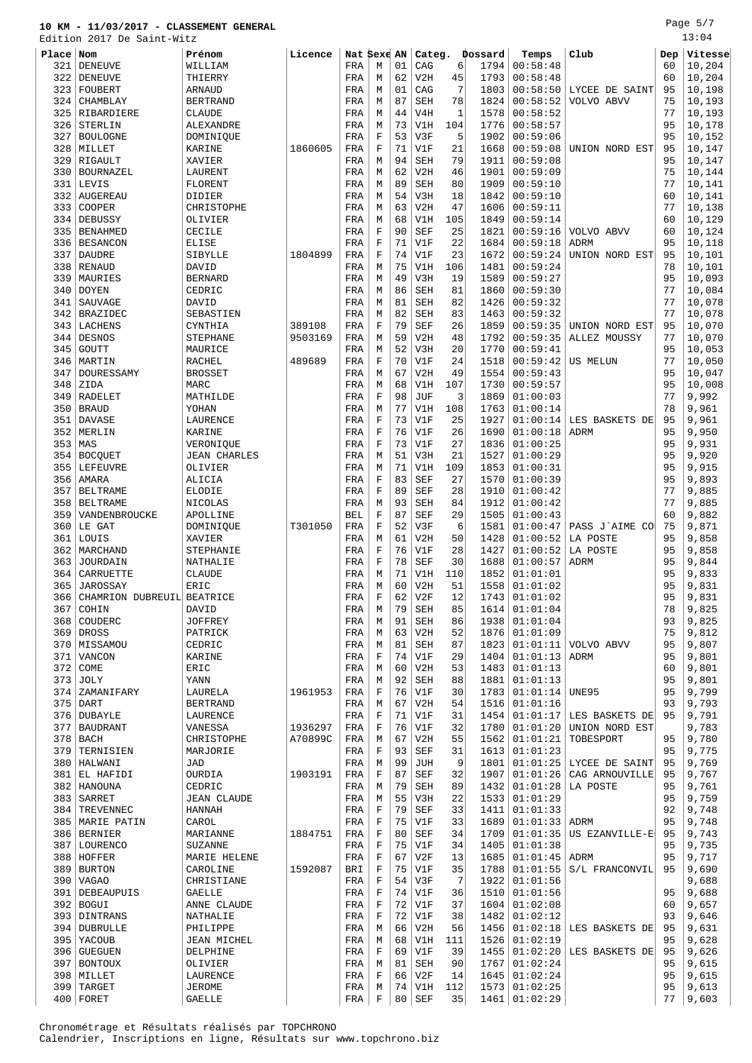Edition 2017 De Saint-Witz

| Place | Nom                        | Prénom              | Licence | Nat Sexe AN |                 |    | Categ.               |     | Dossard | Temps                   | Club                               | Dep  | Vitesse |
|-------|----------------------------|---------------------|---------|-------------|-----------------|----|----------------------|-----|---------|-------------------------|------------------------------------|------|---------|
| 321   | <b>DENEUVE</b>             | WILLIAM             |         | FRA         | М               | 01 | CAG                  | 6   | 1794    | 00:58:48                |                                    | 60   | 10,204  |
| 322   | <b>DENEUVE</b>             | THIERRY             |         | FRA         | M               | 62 | V2H                  | 45  | 1793    | 00:58:48                |                                    | 60   | 10,204  |
| 323   | FOUBERT                    | <b>ARNAUD</b>       |         | FRA         | М               | 01 | CAG                  | 7   | 1803    | 00:58:50                | LYCEE DE SAINT                     | 95   | 10,198  |
| 324   | CHAMBLAY                   | <b>BERTRAND</b>     |         | FRA         | М               | 87 | <b>SEH</b>           | 78  | 1824    | 00:58:52                | VOLVO ABVV                         | 75   | 10,193  |
| 325   | RIBARDIERE                 | <b>CLAUDE</b>       |         | FRA         | М               | 44 | V4H                  | 1   | 1578    | 00:58:52                |                                    | 77   | 10,193  |
| 326   | STERLIN                    | ALEXANDRE           |         | FRA         | М               | 73 | V1H                  | 104 | 1776    | 00:58:57                |                                    | 95   | 10,178  |
| 327   | <b>BOULOGNE</b>            | DOMINIQUE           |         | FRA         | $_{\rm F}$      | 53 | V3F                  | 5   | 1902    | 00:59:06                |                                    | 95   | 10,152  |
| 328   | MILLET                     | KARINE              | 1860605 | FRA         | $_{\rm F}$      | 71 | V1F                  | 21  | 1668    | 00:59:08                | UNION NORD EST                     | 95   | 10,147  |
| 329   | RIGAULT                    | XAVIER              |         | FRA         | М               | 94 | <b>SEH</b>           | 79  | 1911    | 00:59:08                |                                    | 95   | 10,147  |
| 330   | BOURNAZEL                  | LAURENT             |         | FRA         | М               | 62 | V2H                  | 46  | 1901    | 00:59:09                |                                    | 75   | 10,144  |
| 331   | LEVIS                      | FLORENT             |         | FRA         | M               | 89 | <b>SEH</b>           | 80  | 1909    | 00:59:10                |                                    | 77   | 10,141  |
| 332   | <b>AUGEREAU</b>            | DIDIER              |         | FRA         | М               | 54 | V3H                  | 18  | 1842    | 00:59:10                |                                    | 60   | 10,141  |
| 333   | COOPER                     | CHRISTOPHE          |         | FRA         | М               | 63 | V2H                  | 47  | 1606    | 00:59:11                |                                    | 77   | 10,138  |
| 334   | DEBUSSY                    | OLIVIER             |         | FRA         | М               | 68 | V1H                  | 105 | 1849    | 00:59:14                |                                    | 60   | 10,129  |
| 335   | <b>BENAHMED</b>            | CECILE              |         |             | $_{\rm F}$      | 90 | <b>SEF</b>           | 25  | 1821    | 00:59:16                |                                    | 60   | 10,124  |
|       |                            |                     |         | FRA         |                 | 71 |                      |     |         |                         | VOLVO ABVV                         | 95   |         |
| 336   | <b>BESANCON</b>            | ELISE               |         | FRA         | F               | 74 | V1F                  | 22  | 1684    | 00:59:18                | ADRM                               |      | 10,118  |
| 337   | DAUDRE                     | SIBYLLE             | 1804899 | FRA         | $_{\rm F}$      |    | V1F                  | 23  | 1672    | 00:59:24                | UNION NORD EST                     | 95   | 10,101  |
| 338   | <b>RENAUD</b>              | DAVID               |         | FRA         | М               | 75 | V1H                  | 106 | 1481    | 00:59:24                |                                    | 78   | 10,101  |
| 339   | MAURIES                    | <b>BERNARD</b>      |         | FRA         | М               | 49 | V3H                  | 19  | 1589    | 00:59:27                |                                    | 95   | 10,093  |
| 340   | <b>DOYEN</b>               | CEDRIC              |         | FRA         | M               | 86 | <b>SEH</b>           | 81  | 1860    | 00:59:30                |                                    | 77   | 10,084  |
| 341   | SAUVAGE                    | DAVID               |         | FRA         | М               | 81 | SEH                  | 82  | 1426    | 00:59:32                |                                    | 77   | 10,078  |
| 342   | <b>BRAZIDEC</b>            | SEBASTIEN           |         | FRA         | М               | 82 | <b>SEH</b>           | 83  | 1463    | 00:59:32                |                                    | 77   | 10,078  |
| 343   | LACHENS                    | CYNTHIA             | 389108  | FRA         | $_{\rm F}$      | 79 | <b>SEF</b>           | 26  | 1859    | 00:59:35                | UNION NORD EST                     | 95   | 10,070  |
| 344   | <b>DESNOS</b>              | STEPHANE            | 9503169 | FRA         | М               | 59 | V2H                  | 48  | 1792    | 00:59:35                | ALLEZ MOUSSY                       | 77   | 10,070  |
| 345   | <b>GOUTT</b>               | MAURICE             |         | FRA         | М               | 52 | V3H                  | 20  | 1770    | 00:59:41                |                                    | 95   | 10,053  |
| 346   | MARTIN                     | <b>RACHEL</b>       | 489689  | FRA         | $\rm F$         | 70 | V1F                  | 24  | 1518    | 00:59:42                | <b>US MELUN</b>                    | 77   | 10,050  |
| 347   | DOURESSAMY                 | <b>BROSSET</b>      |         | FRA         | M               | 67 | V2H                  | 49  | 1554    | 00:59:43                |                                    | 95   | 10,047  |
| 348   | ZIDA                       | MARC                |         | FRA         | М               | 68 | V1H                  | 107 | 1730    | 00:59:57                |                                    | 95   | 10,008  |
| 349   | <b>RADELET</b>             | MATHILDE            |         | FRA         | $_{\rm F}$      | 98 | JUF                  | 3   | 1869    | 01:00:03                |                                    | 77   | 9,992   |
| 350   | <b>BRAUD</b>               | YOHAN               |         | FRA         | М               | 77 | V1H                  | 108 | 1763    | 01:00:14                |                                    | 78   | 9,961   |
| 351   | <b>DAVASE</b>              | LAURENCE            |         | FRA         | $\rm F$         | 73 | V1F                  | 25  | 1927    | 01:00:14                | LES BASKETS DE                     | 95   | 9,961   |
| 352   | MERLIN                     | KARINE              |         | FRA         | $_{\rm F}$      | 76 | V1F                  | 26  | 1690    | 01:00:18                | ADRM                               | 95   | 9,950   |
| 353   | MAS                        | VERONIQUE           |         | FRA         | F               | 73 | V1F                  | 27  | 1836    | 01:00:25                |                                    | 95   | 9,931   |
| 354   | <b>BOCQUET</b>             | <b>JEAN CHARLES</b> |         | FRA         | М               | 51 | V3H                  | 21  | 1527    | 01:00:29                |                                    | 95   | 9,920   |
| 355   | <b>LEFEUVRE</b>            | OLIVIER             |         | FRA         | М               | 71 | V1H                  | 109 | 1853    | 01:00:31                |                                    | 95   | 9,915   |
| 356   | AMARA                      | ALICIA              |         | FRA         | $_{\rm F}$      | 83 | <b>SEF</b>           | 27  | 1570    | 01:00:39                |                                    | 95   | 9,893   |
| 357   | <b>BELTRAME</b>            | <b>ELODIE</b>       |         | FRA         | $\mathbf F$     | 89 | <b>SEF</b>           | 28  | 1910    | 01:00:42                |                                    | 77   | 9,885   |
| 358   | <b>BELTRAME</b>            | NICOLAS             |         | FRA         | М               | 93 | <b>SEH</b>           | 84  | 1912    | 01:00:42                |                                    | 77   | 9,885   |
| 359   | VANDENBROUCKE              | APOLLINE            |         | <b>BEL</b>  | $\rm F$         | 87 | <b>SEF</b>           | 29  | 1505    | 01:00:43                |                                    | 60   | 9,882   |
| 360   | LE GAT                     | DOMINIQUE           | T301050 | FRA         | F               | 52 | V3F                  | 6   | 1581    | 01:00:47                | PASS J'AIME CO                     | 75   | 9,871   |
| 361   | LOUIS                      | XAVIER              |         | FRA         | М               | 61 | V2H                  | 50  | 1428    | 01:00:52                | LA POSTE                           | 95   | 9,858   |
| 362   | MARCHAND                   | STEPHANIE           |         | FRA         | F               | 76 | V1F                  | 28  | 1427    | 01:00:52                | LA POSTE                           | 95   | 9,858   |
| 363   | JOURDAIN                   | NATHALIE            |         | FRA         | F               | 78 | <b>SEF</b>           | 30  | 1688    | 01:00:57                | ADRM                               | 95   | 9,844   |
| 364   | CARRUETTE                  | <b>CLAUDE</b>       |         | FRA         | М               | 71 | V1H                  | 110 | 1852    | 01:01:01                |                                    | 95   | 9,833   |
| 365   | JAROSSAY                   | ERIC                |         | FRA         | M               | 60 | V2H                  | 51  | 1558    | 01:01:02                |                                    | 95   | 9,831   |
| 366   | CHAMRION DUBREUIL BEATRICE |                     |         | FRA         | $\rm F$         | 62 | V2F                  | 12  |         | 1743   01:01:02         |                                    | 95   | 9,831   |
| 367   | COHIN                      | DAVID               |         | FRA         | M               | 79 | SEH                  | 85  | 1614    | 01:01:04                |                                    | 78   | 9,825   |
|       | 368 COUDERC                | <b>JOFFREY</b>      |         | FRA         | М               | 91 | SEH                  | 86  |         | 1938   01:01:04         |                                    | 93   | 9,825   |
|       | $369$ DROSS                | PATRICK             |         | FRA         | M               | 63 | V2H                  | 52  |         | 1876   01:01:09         |                                    | 75   | 9,812   |
|       | 370   MISSAMOU             | CEDRIC              |         | FRA         | М               | 81 | SEH                  | 87  |         |                         | 1823 01:01:11 VOLVO ABVV           | 95   | 9,807   |
|       | 371 VANCON                 | KARINE              |         | FRA         | F               | 74 | V1F                  | 29  |         | 1404   01:01:13   ADRM  |                                    | 95   | 9,801   |
|       | $372$ COME                 | ERIC                |         | FRA         | М               | 60 | V2H                  | 53  |         | 1483   01:01:13         |                                    | 60   | 9,801   |
|       | $373$ JOLY                 | YANN                |         | FRA         | M               | 92 | <b>SEH</b>           | 88  |         | 1881   01:01:13         |                                    | 95   | 9,801   |
|       | 374 ZAMANIFARY             | LAURELA             | 1961953 | FRA         | F               | 76 | V1F                  | 30  |         | 1783   01:01:14   UNE95 |                                    | 95   | 9,799   |
|       | $375$ DART                 | <b>BERTRAND</b>     |         |             |                 | 67 | V2H                  | 54  |         | 1516 01:01:16           |                                    | 93   | 9,793   |
|       | 376   DUBAYLE              |                     |         | FRA         | М<br>$_{\rm F}$ |    | V1F                  | 31  |         |                         | $1454$ 01:01:17 LES BASKETS DE     | 95   | 9,791   |
|       |                            | LAURENCE            |         | FRA         |                 | 71 |                      |     |         |                         |                                    |      |         |
|       | 377   BAUDRANT             | VANESSA             | 1936297 | FRA         | F               | 76 | V1F                  | 32  |         |                         | 1780 01:01:20 UNION NORD EST       |      | 9,783   |
|       | $378$ BACH                 | CHRISTOPHE          | A70899C | FRA         | М               | 67 | V2H                  | 55  |         | 1562   01:01:21         | TOBESPORT                          | 95   | 9,780   |
|       | 379 TERNISIEN              | MARJORIE            |         | FRA         | F               | 93 | SEF                  | 31  |         | 1613   01:01:23         |                                    | 95   | 9,775   |
|       | 380   HALWANI              | JAD                 |         | FRA         | M               | 99 | JUH                  | 9   |         |                         | 1801   01:01:25   LYCEE DE SAINT   | 95   | 9,769   |
|       | 381 EL HAFIDI              | OURDIA              | 1903191 | FRA         | F               | 87 | $\operatorname{SEF}$ | 32  |         | 1907   01:01:26         | CAG ARNOUVILLE                     | 95   | 9,767   |
|       | 382 HANOUNA                | CEDRIC              |         | FRA         | M               | 79 | SEH                  | 89  |         | 1432 01:01:28 LA POSTE  |                                    | 95   | 9,761   |
|       | 383 SARRET                 | <b>JEAN CLAUDE</b>  |         | FRA         | М               | 55 | V3H                  | 22  |         | 1533   01:01:29         |                                    | 95   | 9,759   |
|       | 384   TREVENNEC            | HANNAH              |         | FRA         | F               | 79 | SEF                  | 33  |         | 1411   01:01:33         |                                    | 92   | 9,748   |
|       | 385   MARIE PATIN          | CAROL               |         | FRA         | F               | 75 | V1F                  | 33  |         | 1689   01:01:33   ADRM  |                                    | 95   | 9,748   |
|       | 386 BERNIER                | MARIANNE            | 1884751 | FRA         | F               | 80 | SEF                  | 34  |         |                         | $1709   01:01:35   US EZANVILLE-E$ | - 95 | 9,743   |
|       | 387   LOURENCO             | <b>SUZANNE</b>      |         | FRA         | F               | 75 | V1F                  | 34  |         | 1405   01:01:38         |                                    | 95   | 9,735   |
|       | 388   HOFFER               | MARIE HELENE        |         | FRA         | F               | 67 | V2F                  | 13  |         | 1685   01:01:45   ADRM  |                                    | 95   | 9,717   |
|       | 389 BURTON                 | CAROLINE            | 1592087 | BRI         | $_{\rm F}$      | 75 | V1F                  | 35  |         |                         | 1788 01:01:55 S/L FRANCONVIL       | 95   | 9,690   |
|       | 390   VAGAO                | CHRISTIANE          |         | FRA         | F               | 54 | V3F                  | 7   |         | 1922   01:01:56         |                                    |      | 9,688   |
|       | 391   DEBEAUPUIS           | GAELLE              |         | FRA         | F               | 74 | V1F                  | 36  |         | 1510   01:01:56         |                                    | 95   | 9,688   |
|       | 392 BOGUI                  | ANNE CLAUDE         |         | FRA         | $_{\rm F}$      | 72 | V1F                  | 37  |         | 1604   01:02:08         |                                    | 60   | 9,657   |
|       | 393 DINTRANS               | NATHALIE            |         | FRA         | $_{\rm F}$      | 72 | V1F                  | 38  |         | 1482   01:02:12         |                                    | 93   | 9,646   |
|       | 394 DUBRULLE               | PHILIPPE            |         | FRA         | M               | 66 | V2H                  | 56  |         |                         | $1456   01:02:18  $ LES BASKETS DE | 95   | 9,631   |
|       | 395 YACOUB                 | JEAN MICHEL         |         | FRA         | M               | 68 | V1H                  | 111 |         | 1526   01:02:19         |                                    | 95   | 9,628   |
|       | 396 GUEGUEN                | DELPHINE            |         | FRA         | F               | 69 | V1F                  | 39  |         |                         | 1455   01:02:20   LES BASKETS DE   | 95   | 9,626   |
|       | 397 BONTOUX                | OLIVIER             |         | FRA         | M               | 81 | SEH                  | 90  |         | 1767   01:02:24         |                                    | 95   | 9,615   |
|       | 398 MILLET                 | LAURENCE            |         | FRA         | F               | 66 | V2F                  | 14  |         | 1645   01:02:24         |                                    | 95   | 9,615   |
|       | 399 TARGET                 | <b>JEROME</b>       |         | FRA         | M               |    | 74 V1H 112           |     |         | 1573   01:02:25         |                                    | 95   | 9,613   |

FORET GAELLE FRA F 80 SEF 35 1461 01:02:29 77 9,603

Chronométrage et Résultats réalisés par TOPCHRONO Calendrier, Inscriptions en ligne, Résultats sur www.topchrono.biz 13:04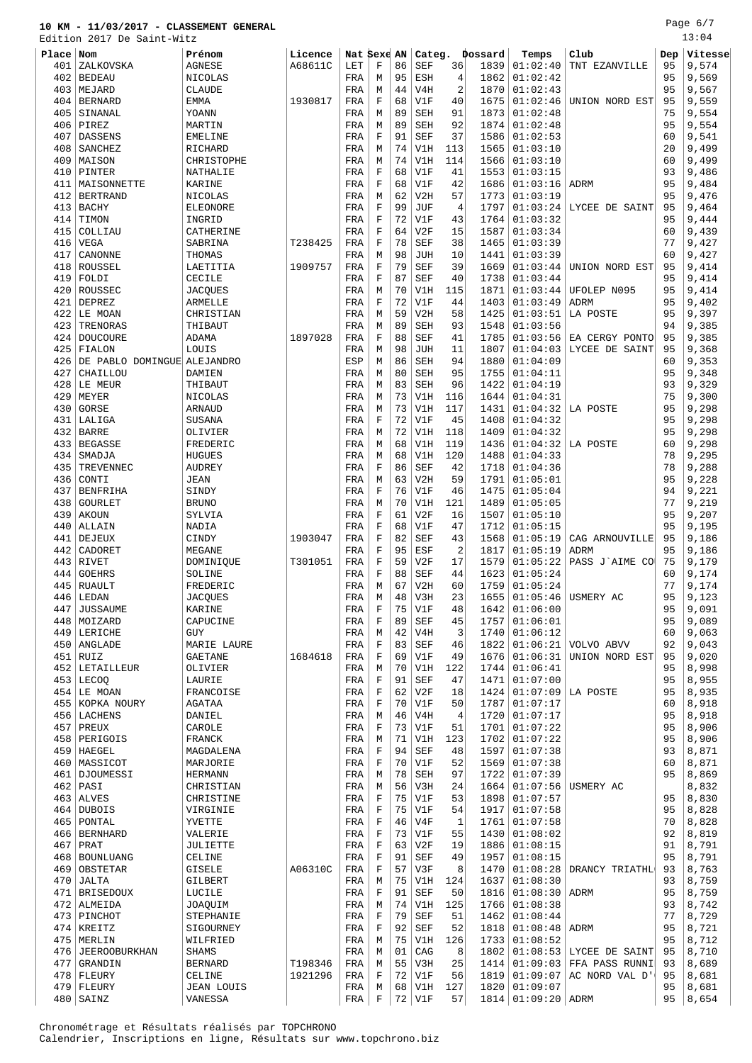Edition 2017 De Saint-Witz

Page 6/7 13:04

| 501 L J 1011 | $2011$ DC<br>DOTTIC MILLS   |                   |         |             |             |    |            |                |         |                    |                |     |         |
|--------------|-----------------------------|-------------------|---------|-------------|-------------|----|------------|----------------|---------|--------------------|----------------|-----|---------|
| Place Nom    |                             | Prénom            | Licence | Nat Sexe AN |             |    | Categ.     |                | Dossard | Temps              | Club           | Dep | Vitesse |
| 401          | ZALKOVSKA                   | <b>AGNESE</b>     | A68611C | LET         | $\mathbf F$ | 86 | <b>SEF</b> | 36             | 1839    | 01:02:40           | TNT EZANVILLE  | 95  | 9,574   |
| 402          | <b>BEDEAU</b>               | <b>NICOLAS</b>    |         | FRA         | M           | 95 | ESH        | 4              | 1862    | 01:02:42           |                | 95  | 9,569   |
| 403          | MEJARD                      | <b>CLAUDE</b>     |         | FRA         | М           | 44 | V4H        | $\overline{2}$ | 1870    | 01:02:43           |                | 95  | 9,567   |
|              |                             |                   |         |             | $\mathbf F$ |    |            |                |         |                    |                | 95  |         |
| 404          | <b>BERNARD</b>              | <b>EMMA</b>       | 1930817 | FRA         |             | 68 | V1F        | 40             | 1675    | 01:02:46           | UNION NORD EST |     | 9,559   |
| 405          | SINANAL                     | YOANN             |         | FRA         | M           | 89 | <b>SEH</b> | 91             | 1873    | 01:02:48           |                | 75  | 9,554   |
| 406          | PIREZ                       | MARTIN            |         | FRA         | M           | 89 | <b>SEH</b> | 92             | 1874    | 01:02:48           |                | 95  | 9,554   |
| 407          | <b>DASSENS</b>              | <b>EMELINE</b>    |         | FRA         | $\mathbf F$ | 91 | <b>SEF</b> | 37             | 1586    | 01:02:53           |                | 60  | 9,541   |
| 408          | SANCHEZ                     | RICHARD           |         | FRA         | М           | 74 | V1H        | 113            | 1565    | 01:03:10           |                | 20  | 9,499   |
| 409          | MAISON                      | CHRISTOPHE        |         | FRA         | M           | 74 | V1H        | 114            | 1566    | 01:03:10           |                | 60  | 9,499   |
| 410          | PINTER                      | NATHALIE          |         | FRA         | $\mathbf F$ | 68 | V1F        | 41             | 1553    | 01:03:15           |                | 93  | 9,486   |
| 411          | MAISONNETTE                 | KARINE            |         | FRA         | $\mathbf F$ | 68 | V1F        | 42             | 1686    | 01:03:16           | <b>ADRM</b>    | 95  | 9,484   |
| 412          | <b>BERTRAND</b>             | NICOLAS           |         | FRA         | М           | 62 | V2H        | 57             | 1773    | 01:03:19           |                | 95  | 9,476   |
| 413          | <b>BACHY</b>                | ELEONORE          |         | FRA         | $\mathbf F$ | 99 | JUF        | $\overline{4}$ | 1797    | 01:03:24           | LYCEE DE SAINT | 95  | 9,464   |
| 414          | TIMON                       | INGRID            |         | FRA         | $\mathbf F$ | 72 | V1F        | 43             | 1764    | 01:03:32           |                | 95  | 9,444   |
| 415          | COLLIAU                     | CATHERINE         |         | FRA         | $\mathbf F$ | 64 | V2F        | 15             | 1587    | 01:03:34           |                | 60  | 9,439   |
| 416          | <b>VEGA</b>                 | SABRINA           | T238425 | FRA         | $\mathbf F$ | 78 | <b>SEF</b> | 38             | 1465    | 01:03:39           |                | 77  | 9,427   |
|              |                             |                   |         |             |             |    |            |                |         |                    |                |     |         |
| 417          | CANONNE                     | THOMAS            |         | FRA         | M           | 98 | JUH        | 10             | 1441    | 01:03:39           |                | 60  | 9,427   |
| 418          | ROUSSEL                     | LAETITIA          | 1909757 | FRA         | $\mathbf F$ | 79 | <b>SEF</b> | 39             | 1669    | 01:03:44           | UNION NORD EST | 95  | 9,414   |
| 419          | FOLDI                       | CECILE            |         | FRA         | $\mathbf F$ | 87 | <b>SEF</b> | 40             | 1738    | 01:03:44           |                | 95  | 9,414   |
| 420          | ROUSSEC                     | <b>JACQUES</b>    |         | FRA         | M           | 70 | V1H        | 115            | 1871    | 01:03:44           | UFOLEP N095    | 95  | 9,414   |
| 421          | <b>DEPREZ</b>               | <b>ARMELLE</b>    |         | FRA         | $\mathbf F$ | 72 | V1F        | 44             | 1403    | 01:03:49           | <b>ADRM</b>    | 95  | 9,402   |
| 422          | LE MOAN                     | CHRISTIAN         |         | FRA         | М           | 59 | V2H        | 58             | 1425    | 01:03:51           | LA POSTE       | 95  | 9,397   |
| 423          | TRENORAS                    | THIBAUT           |         | FRA         | М           | 89 | <b>SEH</b> | 93             | 1548    | 01:03:56           |                | 94  | 9,385   |
| 424          | <b>DOUCOURE</b>             | ADAMA             | 1897028 | FRA         | F           | 88 | <b>SEF</b> | 41             | 1785    | 01:03:56           | EA CERGY PONTO | 95  | 9,385   |
| 425          | FIALON                      | LOUIS             |         | FRA         | M           | 98 | JUH        | 11             | 1807    | 01:04:03           | LYCEE DE SAINT | 95  | 9,368   |
| 426          | DE PABLO DOMINGUE ALEJANDRO |                   |         | ESP         | М           | 86 | <b>SEH</b> | 94             | 1880    | 01:04:09           |                | 60  | 9,353   |
| 427          | CHAILLOU                    | <b>DAMIEN</b>     |         | FRA         | M           | 80 | <b>SEH</b> | 95             | 1755    | 01:04:11           |                | 95  | 9,348   |
| 428          | LE MEUR                     | THIBAUT           |         | FRA         | М           | 83 | <b>SEH</b> | 96             | 1422    | 01:04:19           |                | 93  | 9,329   |
|              |                             |                   |         |             |             |    |            |                |         |                    |                |     |         |
| 429          | MEYER                       | NICOLAS           |         | FRA         | М           | 73 | V1H        | 116            | 1644    | 01:04:31           |                | 75  | 9,300   |
| 430          | <b>GORSE</b>                | ARNAUD            |         | FRA         | М           | 73 | V1H        | 117            | 1431    | 01:04:32           | LA POSTE       | 95  | 9,298   |
| 431          | LALIGA                      | SUSANA            |         | FRA         | F           | 72 | V1F        | 45             | 1408    | 01:04:32           |                | 95  | 9,298   |
| 432          | <b>BARRE</b>                | OLIVIER           |         | FRA         | М           | 72 | V1H        | 118            | 1409    | 01:04:32           |                | 95  | 9,298   |
| 433          | <b>BEGASSE</b>              | FREDERIC          |         | FRA         | M           | 68 | V1H        | 119            | 1436    | 01:04:32           | LA POSTE       | 60  | 9,298   |
| 434          | SMADJA                      | <b>HUGUES</b>     |         | FRA         | M           | 68 | V1H        | 120            | 1488    | 01:04:33           |                | 78  | 9,295   |
| 435          | TREVENNEC                   | <b>AUDREY</b>     |         | FRA         | F           | 86 | <b>SEF</b> | 42             | 1718    | 01:04:36           |                | 78  | 9,288   |
| 436          | CONTI                       | <b>JEAN</b>       |         | FRA         | M           | 63 | V2H        | 59             | 1791    | 01:05:01           |                | 95  | 9,228   |
| 437          | <b>BENFRIHA</b>             | SINDY             |         | FRA         | F           | 76 | V1F        | 46             | 1475    | 01:05:04           |                | 94  | 9,221   |
| 438          | <b>GOURLET</b>              | <b>BRUNO</b>      |         | FRA         | M           | 70 | V1H        | 121            | 1489    | 01:05:05           |                | 77  | 9,219   |
| 439          | <b>AKOUN</b>                | SYLVIA            |         | FRA         | F           | 61 | V2F        | 16             | 1507    | 01:05:10           |                | 95  | 9,207   |
|              |                             |                   |         |             | $\mathbf F$ | 68 |            | 47             |         |                    |                | 95  |         |
| 440          | ALLAIN                      | NADIA             |         | FRA         |             |    | V1F        |                | 1712    | 01:05:15           |                |     | 9,195   |
| 441          | DEJEUX                      | CINDY             | 1903047 | FRA         | $\mathbf F$ | 82 | <b>SEF</b> | 43             | 1568    | 01:05:19           | CAG ARNOUVILLE | 95  | 9,186   |
| 442          | CADORET                     | MEGANE            |         | FRA         | $\mathbf F$ | 95 | ESF        | $\overline{2}$ | 1817    | 01:05:19           | ADRM           | 95  | 9,186   |
| 443          | <b>RIVET</b>                | DOMINIQUE         | T301051 | FRA         | $\mathbf F$ | 59 | V2F        | 17             | 1579    | 01:05:22           | PASS J'AIME CO | 75  | 9,179   |
| 444          | <b>GOEHRS</b>               | SOLINE            |         | FRA         | F           | 88 | <b>SEF</b> | 44             | 1623    | 01:05:24           |                | 60  | 9,174   |
| 445          | <b>RUAULT</b>               | FREDERIC          |         | FRA         | M           | 67 | V2H        | 60             | 1759    | 01:05:24           |                | 77  | 9,174   |
| 446          | LEDAN                       | <b>JACQUES</b>    |         | FRA         | М           | 48 | V3H        | 23             | 1655    | 01:05:46           | USMERY AC      | 95  | 9,123   |
| 447          | JUSSAUME                    | KARINE            |         | FRA         | F           | 75 | V1F        | 48             | 1642    | 01:06:00           |                | 95  | 9,091   |
|              | 448 MOIZARD                 | CAPUCINE          |         | FRA         | F           | 89 | SEF        | 45             | 1757    | 01:06:01           |                | 95  | 9,089   |
|              | 449 LERICHE                 | GUY               |         | FRA         | М           | 42 | V4H        | 3              | 1740    | 01:06:12           |                | 60  | 9,063   |
|              | 450   ANGLADE               | MARIE LAURE       |         | FRA         | $\mathbf F$ | 83 | <b>SEF</b> | 46             | 1822    | 01:06:21           | VOLVO ABVV     | 92  | 9,043   |
| 451          | <b>RUIZ</b>                 | <b>GAETANE</b>    | 1684618 | FRA         | $\mathbf F$ | 69 | V1F        | 49             | 1676    | 01:06:31           | UNION NORD EST | 95  | 9,020   |
|              | 452 LETAILLEUR              | OLIVIER           |         | FRA         | М           | 70 | V1H        | 122            | 1744    | 01:06:41           |                | 95  | 8,998   |
|              | $453$ LECOQ                 | LAURIE            |         | FRA         | F           | 91 | SEF        | 47             | 1471    | 01:07:00           |                | 95  | 8,955   |
|              |                             |                   |         |             |             |    |            |                |         |                    |                | 95  |         |
|              | 454 LE MOAN                 | FRANCOISE         |         | FRA         | F           | 62 | V2F        | 18             | 1424    | 01:07:09           | LA POSTE       |     | 8,935   |
|              | 455 KOPKA NOURY             | AGATAA            |         | FRA         | F           | 70 | V1F        | 50             | 1787    | 01:07:17           |                | 60  | 8,918   |
|              | 456 LACHENS                 | DANIEL            |         | FRA         | М           | 46 | V4H        | 4              | 1720    | 01:07:17           |                | 95  | 8,918   |
|              | $457$ PREUX                 | CAROLE            |         | FRA         | F           | 73 | V1F        | 51             | 1701    | 01:07:22           |                | 95  | 8,906   |
| 458          | PERIGOIS                    | FRANCK            |         | FRA         | М           | 71 | V1H        | 123            | 1702    | 01:07:22           |                | 95  | 8,906   |
|              | $459$ HAEGEL                | MAGDALENA         |         | FRA         | $\mathbf F$ | 94 | <b>SEF</b> | 48             | 1597    | 01:07:38           |                | 93  | 8,871   |
|              | 460   MASSICOT              | MARJORIE          |         | FRA         | F           | 70 | V1F        | 52             | 1569    | 01:07:38           |                | 60  | 8,871   |
|              | 461   DJOUMESSI             | <b>HERMANN</b>    |         | FRA         | М           | 78 | SEH        | 97             | 1722    | 01:07:39           |                | 95  | 8,869   |
| 462          | PASI                        | CHRISTIAN         |         | FRA         | М           | 56 | V3H        | 24             | 1664    | 01:07:56           | USMERY AC      |     | 8,832   |
|              | $463$ ALVES                 | CHRISTINE         |         | FRA         | F           | 75 | V1F        | 53             | 1898    | 01:07:57           |                | 95  | 8,830   |
| 464          | <b>DUBOIS</b>               | VIRGINIE          |         | FRA         | $\mathbf F$ | 75 | V1F        | 54             | 1917    | 01:07:58           |                | 95  | 8,828   |
| 465          | PONTAL                      | YVETTE            |         | FRA         | F           | 46 | V4F        | 1              | 1761    | 01:07:58           |                | 70  | 8,828   |
|              |                             |                   |         |             |             |    |            |                |         |                    |                |     |         |
|              | 466   BERNHARD              | VALERIE           |         | FRA         | $\mathbf F$ | 73 | V1F        | 55             | 1430    | 01:08:02           |                | 92  | 8,819   |
| 467          | PRAT                        | JULIETTE          |         | FRA         | F           | 63 | V2F        | 19             | 1886    | 01:08:15           |                | 91  | 8,791   |
|              | 468   BOUNLUANG             | CELINE            |         | FRA         | $\mathbf F$ | 91 | SEF        | 49             | 1957    | 01:08:15           |                | 95  | 8,791   |
| 469          | OBSTETAR                    | GISELE            | A06310C | FRA         | F           | 57 | V3F        | 8              | 1470    | 01:08:28           | DRANCY TRIATHL | 93  | 8,763   |
| 470          | JALTA                       | GILBERT           |         | FRA         | М           | 75 | V1H        | 124            | 1637    | 01:08:30           |                | 93  | 8,759   |
| 471          | <b>BRISEDOUX</b>            | LUCILE            |         | FRA         | F           | 91 | SEF        | 50             | 1816    | 01:08:30           | ADRM           | 95  | 8,759   |
| 472          | ALMEIDA                     | JOAQUIM           |         | FRA         | M           | 74 | V1H        | 125            | 1766    | 01:08:38           |                | 93  | 8,742   |
|              | 473   PINCHOT               | STEPHANIE         |         | FRA         | F           | 79 | <b>SEF</b> | 51             | 1462    | 01:08:44           |                | 77  | 8,729   |
|              | $474$ KREITZ                | SIGOURNEY         |         | FRA         | F           | 92 | SEF        | 52             | 1818    | 01:08:48           | ADRM           | 95  | 8,721   |
|              | 475 MERLIN                  | WILFRIED          |         | FRA         | М           | 75 | V1H        | 126            | 1733    | 01:08:52           |                | 95  | 8,712   |
| 476          | <b>JEEROOBURKHAN</b>        | SHAMS             |         | FRA         | М           | 01 | CAG        | 8              | 1802    | 01:08:53           | LYCEE DE SAINT | 95  | 8,710   |
| 477          | GRANDIN                     | <b>BERNARD</b>    | T198346 | FRA         | М           | 55 | V3H        | 25             | 1414    | 01:09:03           | FFA PASS RUNNI | 93  | 8,689   |
|              | $478$ FLEURY                | CELINE            | 1921296 | FRA         | F           | 72 | V1F        | 56             | 1819    | 01:09:07           | AC NORD VAL D' | 95  | 8,681   |
|              |                             |                   |         |             |             |    |            |                |         |                    |                |     |         |
| 479          | FLEURY                      | <b>JEAN LOUIS</b> |         | FRA         | М           | 68 | V1H        | 127            | 1820    | 01:09:07           |                | 95  | 8,681   |
| 480          | SAINZ                       | VANESSA           |         | FRA         | F           |    | 72 V1F     | 57             |         | 1814 01:09:20 ADRM |                | 95  | 8,654   |